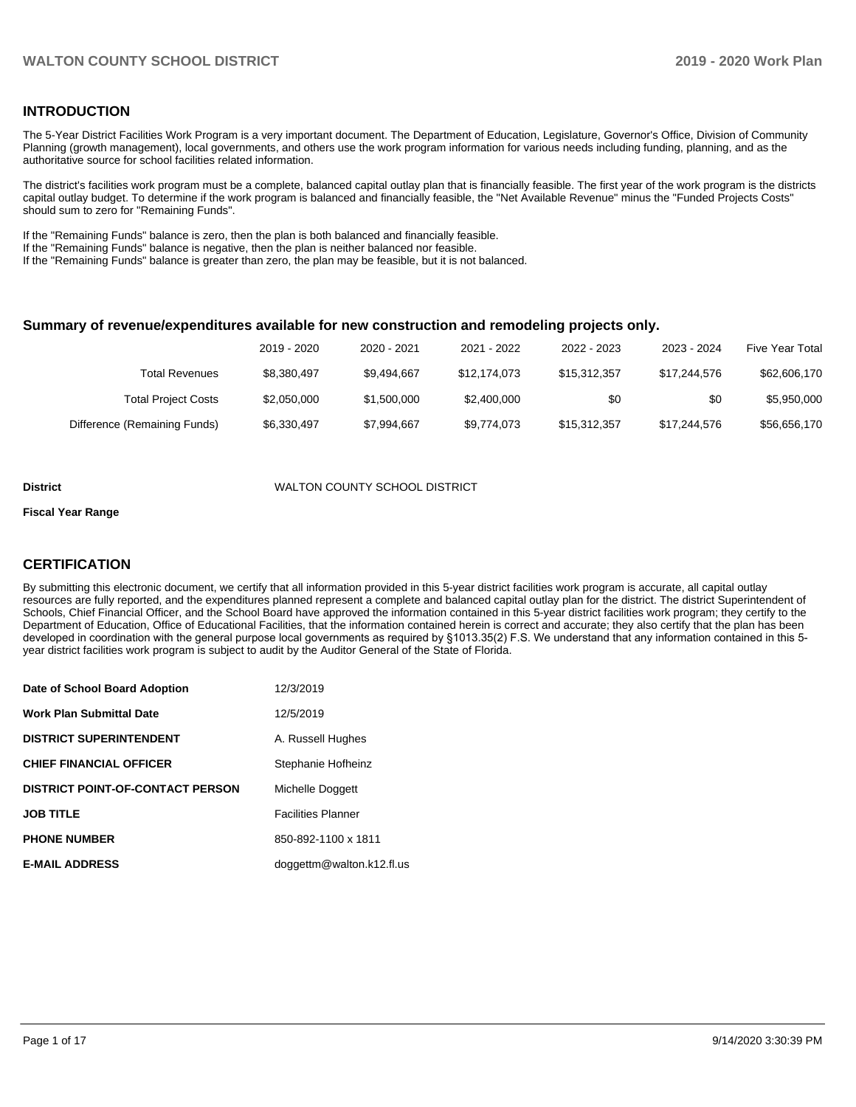### **INTRODUCTION**

The 5-Year District Facilities Work Program is a very important document. The Department of Education, Legislature, Governor's Office, Division of Community Planning (growth management), local governments, and others use the work program information for various needs including funding, planning, and as the authoritative source for school facilities related information.

The district's facilities work program must be a complete, balanced capital outlay plan that is financially feasible. The first year of the work program is the districts capital outlay budget. To determine if the work program is balanced and financially feasible, the "Net Available Revenue" minus the "Funded Projects Costs" should sum to zero for "Remaining Funds".

If the "Remaining Funds" balance is zero, then the plan is both balanced and financially feasible.

If the "Remaining Funds" balance is negative, then the plan is neither balanced nor feasible.

If the "Remaining Funds" balance is greater than zero, the plan may be feasible, but it is not balanced.

#### **Summary of revenue/expenditures available for new construction and remodeling projects only.**

| <b>Five Year Total</b> | 2023 - 2024  | 2022 - 2023  | 2021 - 2022  | 2020 - 2021 | 2019 - 2020 |                              |
|------------------------|--------------|--------------|--------------|-------------|-------------|------------------------------|
| \$62,606,170           | \$17,244,576 | \$15,312,357 | \$12,174,073 | \$9.494.667 | \$8,380,497 | Total Revenues               |
| \$5,950,000            | \$0          | \$0          | \$2,400,000  | \$1,500,000 | \$2,050,000 | <b>Total Project Costs</b>   |
| \$56,656,170           | \$17,244,576 | \$15,312,357 | \$9,774,073  | \$7,994,667 | \$6,330,497 | Difference (Remaining Funds) |

#### **District** WALTON COUNTY SCHOOL DISTRICT

#### **Fiscal Year Range**

### **CERTIFICATION**

By submitting this electronic document, we certify that all information provided in this 5-year district facilities work program is accurate, all capital outlay resources are fully reported, and the expenditures planned represent a complete and balanced capital outlay plan for the district. The district Superintendent of Schools, Chief Financial Officer, and the School Board have approved the information contained in this 5-year district facilities work program; they certify to the Department of Education, Office of Educational Facilities, that the information contained herein is correct and accurate; they also certify that the plan has been developed in coordination with the general purpose local governments as required by §1013.35(2) F.S. We understand that any information contained in this 5 year district facilities work program is subject to audit by the Auditor General of the State of Florida.

| Date of School Board Adoption           | 12/3/2019                 |
|-----------------------------------------|---------------------------|
| Work Plan Submittal Date                | 12/5/2019                 |
| <b>DISTRICT SUPERINTENDENT</b>          | A. Russell Hughes         |
| <b>CHIEF FINANCIAL OFFICER</b>          | Stephanie Hofheinz        |
| <b>DISTRICT POINT-OF-CONTACT PERSON</b> | Michelle Doggett          |
| <b>JOB TITLE</b>                        | <b>Facilities Planner</b> |
| <b>PHONE NUMBER</b>                     | 850-892-1100 x 1811       |
| <b>E-MAIL ADDRESS</b>                   | doggettm@walton.k12.fl.us |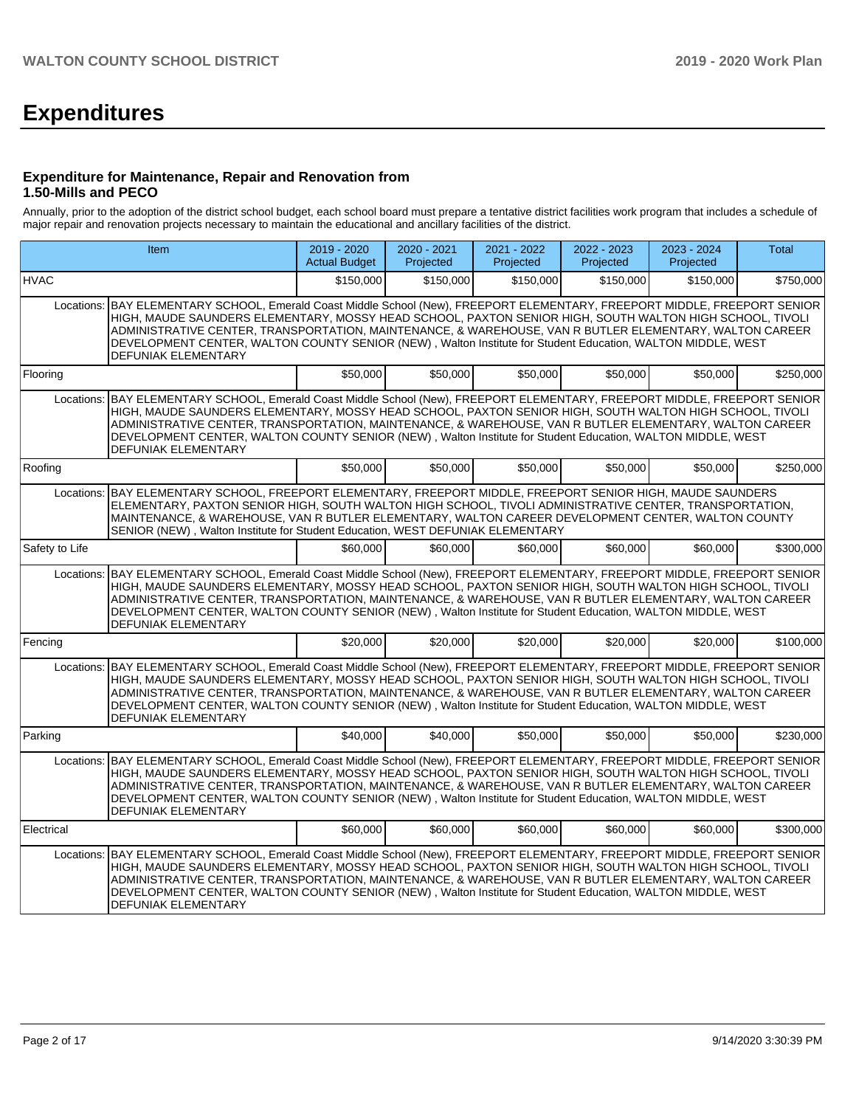# **Expenditures**

#### **Expenditure for Maintenance, Repair and Renovation from 1.50-Mills and PECO**

Annually, prior to the adoption of the district school budget, each school board must prepare a tentative district facilities work program that includes a schedule of major repair and renovation projects necessary to maintain the educational and ancillary facilities of the district.

|                | Item                                                                                                                                                                                                                                                                                                                                                                                                                                                                                | 2019 - 2020<br><b>Actual Budget</b> | $2020 - 2021$<br>Projected | 2021 - 2022<br>Projected | 2022 - 2023<br>Projected | 2023 - 2024<br>Projected | <b>Total</b> |
|----------------|-------------------------------------------------------------------------------------------------------------------------------------------------------------------------------------------------------------------------------------------------------------------------------------------------------------------------------------------------------------------------------------------------------------------------------------------------------------------------------------|-------------------------------------|----------------------------|--------------------------|--------------------------|--------------------------|--------------|
| <b>HVAC</b>    |                                                                                                                                                                                                                                                                                                                                                                                                                                                                                     | \$150,000                           | \$150,000                  | \$150,000                | \$150,000                | \$150,000                | \$750,000    |
| Locations:     | BAY ELEMENTARY SCHOOL, Emerald Coast Middle School (New), FREEPORT ELEMENTARY, FREEPORT MIDDLE, FREEPORT SENIOR<br>HIGH, MAUDE SAUNDERS ELEMENTARY, MOSSY HEAD SCHOOL, PAXTON SENIOR HIGH, SOUTH WALTON HIGH SCHOOL, TIVOLI<br>ADMINISTRATIVE CENTER, TRANSPORTATION, MAINTENANCE, & WAREHOUSE, VAN R BUTLER ELEMENTARY, WALTON CAREER<br>DEVELOPMENT CENTER, WALTON COUNTY SENIOR (NEW), Walton Institute for Student Education, WALTON MIDDLE, WEST<br>DEFUNIAK ELEMENTARY        |                                     |                            |                          |                          |                          |              |
| Flooring       |                                                                                                                                                                                                                                                                                                                                                                                                                                                                                     | \$50,000                            | \$50,000                   | \$50.000                 | \$50,000                 | \$50,000                 | \$250,000    |
| Locations:     | BAY ELEMENTARY SCHOOL, Emerald Coast Middle School (New), FREEPORT ELEMENTARY, FREEPORT MIDDLE, FREEPORT SENIOR<br>HIGH, MAUDE SAUNDERS ELEMENTARY, MOSSY HEAD SCHOOL, PAXTON SENIOR HIGH, SOUTH WALTON HIGH SCHOOL, TIVOLI<br>ADMINISTRATIVE CENTER. TRANSPORTATION. MAINTENANCE. & WAREHOUSE. VAN R BUTLER ELEMENTARY. WALTON CAREER<br>DEVELOPMENT CENTER, WALTON COUNTY SENIOR (NEW), Walton Institute for Student Education, WALTON MIDDLE, WEST<br>DEFUNIAK ELEMENTARY        |                                     |                            |                          |                          |                          |              |
| Roofing        |                                                                                                                                                                                                                                                                                                                                                                                                                                                                                     | \$50,000                            | \$50,000                   | \$50,000                 | \$50,000                 | \$50,000                 | \$250,000    |
| Locations:     | BAY ELEMENTARY SCHOOL, FREEPORT ELEMENTARY, FREEPORT MIDDLE, FREEPORT SENIOR HIGH, MAUDE SAUNDERS<br>ELEMENTARY, PAXTON SENIOR HIGH, SOUTH WALTON HIGH SCHOOL, TIVOLI ADMINISTRATIVE CENTER, TRANSPORTATION,<br>MAINTENANCE, & WAREHOUSE, VAN R BUTLER ELEMENTARY, WALTON CAREER DEVELOPMENT CENTER, WALTON COUNTY<br>SENIOR (NEW), Walton Institute for Student Education, WEST DEFUNIAK ELEMENTARY                                                                                |                                     |                            |                          |                          |                          |              |
| Safety to Life |                                                                                                                                                                                                                                                                                                                                                                                                                                                                                     | \$60,000                            | \$60,000                   | \$60,000                 | \$60,000                 | \$60,000                 | \$300,000    |
| Locations:     | BAY ELEMENTARY SCHOOL, Emerald Coast Middle School (New), FREEPORT ELEMENTARY, FREEPORT MIDDLE, FREEPORT SENIOR<br>HIGH, MAUDE SAUNDERS ELEMENTARY, MOSSY HEAD SCHOOL, PAXTON SENIOR HIGH, SOUTH WALTON HIGH SCHOOL, TIVOLI<br>ADMINISTRATIVE CENTER, TRANSPORTATION, MAINTENANCE, & WAREHOUSE, VAN R BUTLER ELEMENTARY, WALTON CAREER<br>DEVELOPMENT CENTER, WALTON COUNTY SENIOR (NEW), Walton Institute for Student Education, WALTON MIDDLE, WEST<br>DEFUNIAK ELEMENTARY        |                                     |                            |                          |                          |                          |              |
| Fencing        |                                                                                                                                                                                                                                                                                                                                                                                                                                                                                     | \$20,000                            | \$20,000                   | \$20,000                 | \$20,000                 | \$20,000                 | \$100,000    |
| Locations:     | BAY ELEMENTARY SCHOOL, Emerald Coast Middle School (New), FREEPORT ELEMENTARY, FREEPORT MIDDLE, FREEPORT SENIOR<br>HIGH, MAUDE SAUNDERS ELEMENTARY, MOSSY HEAD SCHOOL, PAXTON SENIOR HIGH, SOUTH WALTON HIGH SCHOOL, TIVOLI<br>ADMINISTRATIVE CENTER, TRANSPORTATION, MAINTENANCE, & WAREHOUSE, VAN R BUTLER ELEMENTARY, WALTON CAREER<br>DEVELOPMENT CENTER, WALTON COUNTY SENIOR (NEW), Walton Institute for Student Education, WALTON MIDDLE, WEST<br>DEFUNIAK ELEMENTARY        |                                     |                            |                          |                          |                          |              |
| Parking        |                                                                                                                                                                                                                                                                                                                                                                                                                                                                                     | \$40,000                            | \$40,000                   | \$50,000                 | \$50,000                 | \$50,000                 | \$230,000    |
| Locations:     | BAY ELEMENTARY SCHOOL, Emerald Coast Middle School (New), FREEPORT ELEMENTARY, FREEPORT MIDDLE, FREEPORT SENIOR<br>HIGH, MAUDE SAUNDERS ELEMENTARY, MOSSY HEAD SCHOOL, PAXTON SENIOR HIGH, SOUTH WALTON HIGH SCHOOL, TIVOLI<br>ADMINISTRATIVE CENTER, TRANSPORTATION, MAINTENANCE, & WAREHOUSE, VAN R BUTLER ELEMENTARY, WALTON CAREER<br>DEVELOPMENT CENTER, WALTON COUNTY SENIOR (NEW), Walton Institute for Student Education, WALTON MIDDLE, WEST<br>DEFUNIAK ELEMENTARY        |                                     |                            |                          |                          |                          |              |
| Electrical     |                                                                                                                                                                                                                                                                                                                                                                                                                                                                                     | \$60,000                            | \$60,000                   | \$60,000                 | \$60,000                 | \$60,000                 | \$300,000    |
| Locations:     | BAY ELEMENTARY SCHOOL, Emerald Coast Middle School (New), FREEPORT ELEMENTARY, FREEPORT MIDDLE, FREEPORT SENIOR<br>HIGH, MAUDE SAUNDERS ELEMENTARY, MOSSY HEAD SCHOOL, PAXTON SENIOR HIGH, SOUTH WALTON HIGH SCHOOL, TIVOLI<br>ADMINISTRATIVE CENTER, TRANSPORTATION, MAINTENANCE, & WAREHOUSE, VAN R BUTLER ELEMENTARY, WALTON CAREER<br>DEVELOPMENT CENTER, WALTON COUNTY SENIOR (NEW), Walton Institute for Student Education, WALTON MIDDLE, WEST<br><b>DEFUNIAK ELEMENTARY</b> |                                     |                            |                          |                          |                          |              |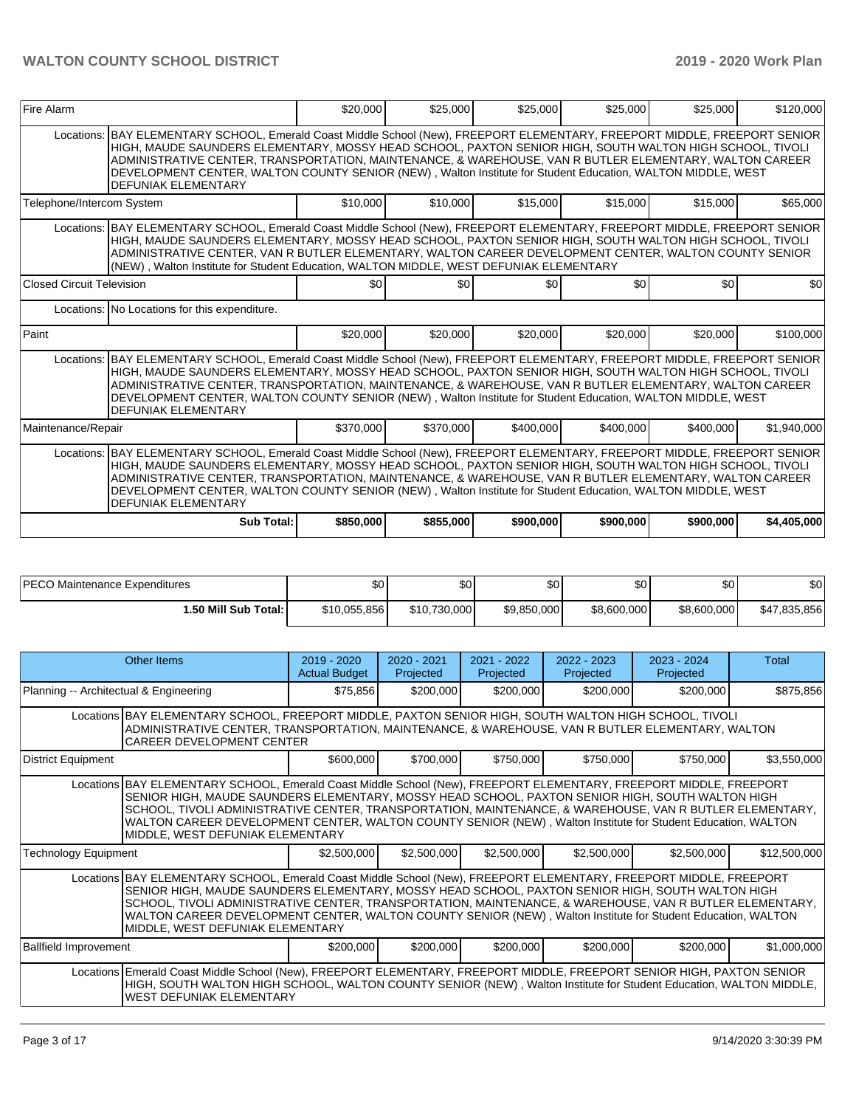| Fire Alarm                                                                                                                                                                                                                                                                                                                                                                                                                                                                                        | \$20,000  | \$25,000  | \$25,000  | \$25,000  | \$25,000  | \$120,000   |  |  |  |  |
|---------------------------------------------------------------------------------------------------------------------------------------------------------------------------------------------------------------------------------------------------------------------------------------------------------------------------------------------------------------------------------------------------------------------------------------------------------------------------------------------------|-----------|-----------|-----------|-----------|-----------|-------------|--|--|--|--|
| BAY ELEMENTARY SCHOOL, Emerald Coast Middle School (New), FREEPORT ELEMENTARY, FREEPORT MIDDLE, FREEPORT SENIOR<br>Locations:<br>HIGH, MAUDE SAUNDERS ELEMENTARY, MOSSY HEAD SCHOOL, PAXTON SENIOR HIGH, SOUTH WALTON HIGH SCHOOL, TIVOLI<br>ADMINISTRATIVE CENTER, TRANSPORTATION, MAINTENANCE, & WAREHOUSE, VAN R BUTLER ELEMENTARY, WALTON CAREER<br>DEVELOPMENT CENTER, WALTON COUNTY SENIOR (NEW), Walton Institute for Student Education, WALTON MIDDLE, WEST<br><b>DEFUNIAK ELEMENTARY</b> |           |           |           |           |           |             |  |  |  |  |
| Telephone/Intercom System                                                                                                                                                                                                                                                                                                                                                                                                                                                                         | \$10,000  | \$10,000  | \$15,000  | \$15,000  | \$15,000  | \$65,000    |  |  |  |  |
| Locations: BAY ELEMENTARY SCHOOL, Emerald Coast Middle School (New), FREEPORT ELEMENTARY, FREEPORT MIDDLE, FREEPORT SENIOR<br>HIGH, MAUDE SAUNDERS ELEMENTARY, MOSSY HEAD SCHOOL, PAXTON SENIOR HIGH, SOUTH WALTON HIGH SCHOOL, TIVOLI<br>ADMINISTRATIVE CENTER, VAN R BUTLER ELEMENTARY, WALTON CAREER DEVELOPMENT CENTER, WALTON COUNTY SENIOR<br>(NEW), Walton Institute for Student Education, WALTON MIDDLE, WEST DEFUNIAK ELEMENTARY                                                        |           |           |           |           |           |             |  |  |  |  |
| Closed Circuit Television                                                                                                                                                                                                                                                                                                                                                                                                                                                                         | \$0       | \$0       | \$0       | \$0       | \$0       | \$0         |  |  |  |  |
| Locations: No Locations for this expenditure.                                                                                                                                                                                                                                                                                                                                                                                                                                                     |           |           |           |           |           |             |  |  |  |  |
| Paint                                                                                                                                                                                                                                                                                                                                                                                                                                                                                             | \$20,000  | \$20,000  | \$20,000  | \$20,000  | \$20,000  | \$100,000   |  |  |  |  |
| BAY ELEMENTARY SCHOOL, Emerald Coast Middle School (New), FREEPORT ELEMENTARY, FREEPORT MIDDLE, FREEPORT SENIOR<br>Locations:<br>HIGH, MAUDE SAUNDERS ELEMENTARY, MOSSY HEAD SCHOOL, PAXTON SENIOR HIGH, SOUTH WALTON HIGH SCHOOL, TIVOLI<br>ADMINISTRATIVE CENTER, TRANSPORTATION, MAINTENANCE, & WAREHOUSE, VAN R BUTLER ELEMENTARY, WALTON CAREER<br>DEVELOPMENT CENTER, WALTON COUNTY SENIOR (NEW), Walton Institute for Student Education, WALTON MIDDLE, WEST<br><b>DEFUNIAK ELEMENTARY</b> |           |           |           |           |           |             |  |  |  |  |
| Maintenance/Repair                                                                                                                                                                                                                                                                                                                                                                                                                                                                                | \$370,000 | \$370,000 | \$400,000 | \$400.000 | \$400,000 | \$1,940,000 |  |  |  |  |
| Locations: BAY ELEMENTARY SCHOOL, Emerald Coast Middle School (New), FREEPORT ELEMENTARY, FREEPORT MIDDLE, FREEPORT SENIOR<br>HIGH, MAUDE SAUNDERS ELEMENTARY, MOSSY HEAD SCHOOL, PAXTON SENIOR HIGH, SOUTH WALTON HIGH SCHOOL, TIVOLI<br>ADMINISTRATIVE CENTER, TRANSPORTATION, MAINTENANCE, & WAREHOUSE, VAN R BUTLER ELEMENTARY, WALTON CAREER<br>DEVELOPMENT CENTER, WALTON COUNTY SENIOR (NEW), Walton Institute for Student Education, WALTON MIDDLE, WEST<br><b>DEFUNIAK ELEMENTARY</b>    |           |           |           |           |           |             |  |  |  |  |
| Sub Total:                                                                                                                                                                                                                                                                                                                                                                                                                                                                                        | \$850,000 | \$855,000 | \$900,000 | \$900,000 | \$900,000 | \$4,405,000 |  |  |  |  |

| <b>PECO</b>                | Ψ∪           | ሖ            | ሶሳ          | ጥ ለ         | ሶስ          | ሶሳ           |
|----------------------------|--------------|--------------|-------------|-------------|-------------|--------------|
| ) Maintenance Expenditures |              | w            | w           | JU.         | JU.         | ১∪           |
| l.50 Mill Sub Total:       | \$10.055.856 | \$10.730,000 | \$9,850,000 | \$8,600,000 | \$8,600,000 | \$47,835,856 |

|                                        | Other Items                                                                                                                                                                                                                                                                                                                                                                                                                                                                            | $2019 - 2020$<br><b>Actual Budget</b> | $2020 - 2021$<br>Projected | 2021 - 2022<br>Projected | $2022 - 2023$<br>Projected | $2023 - 2024$<br>Projected | Total        |  |  |
|----------------------------------------|----------------------------------------------------------------------------------------------------------------------------------------------------------------------------------------------------------------------------------------------------------------------------------------------------------------------------------------------------------------------------------------------------------------------------------------------------------------------------------------|---------------------------------------|----------------------------|--------------------------|----------------------------|----------------------------|--------------|--|--|
| Planning -- Architectual & Engineering |                                                                                                                                                                                                                                                                                                                                                                                                                                                                                        | \$75,856                              | \$200,000                  | \$200,000                | \$200,000                  | \$200,000                  | \$875,856    |  |  |
|                                        | Locations BAY ELEMENTARY SCHOOL, FREEPORT MIDDLE, PAXTON SENIOR HIGH, SOUTH WALTON HIGH SCHOOL, TIVOLI<br>ADMINISTRATIVE CENTER, TRANSPORTATION, MAINTENANCE, & WAREHOUSE, VAN R BUTLER ELEMENTARY, WALTON<br><b>CAREER DEVELOPMENT CENTER</b>                                                                                                                                                                                                                                         |                                       |                            |                          |                            |                            |              |  |  |
| District Equipment                     |                                                                                                                                                                                                                                                                                                                                                                                                                                                                                        | \$600,000                             | \$700,000                  | \$750,000                | \$750,000                  | \$750,000                  | \$3,550,000  |  |  |
|                                        | Locations BAY ELEMENTARY SCHOOL, Emerald Coast Middle School (New), FREEPORT ELEMENTARY, FREEPORT MIDDLE, FREEPORT<br>SENIOR HIGH, MAUDE SAUNDERS ELEMENTARY, MOSSY HEAD SCHOOL, PAXTON SENIOR HIGH, SOUTH WALTON HIGH<br>SCHOOL, TIVOLI ADMINISTRATIVE CENTER, TRANSPORTATION, MAINTENANCE, & WAREHOUSE, VAN R BUTLER ELEMENTARY,<br>WALTON CAREER DEVELOPMENT CENTER, WALTON COUNTY SENIOR (NEW), Walton Institute for Student Education, WALTON<br>MIDDLE, WEST DEFUNIAK ELEMENTARY |                                       |                            |                          |                            |                            |              |  |  |
| <b>Technology Equipment</b>            |                                                                                                                                                                                                                                                                                                                                                                                                                                                                                        | \$2,500,000                           | \$2,500,000                | \$2,500,000              | \$2,500,000                | \$2,500,000                | \$12,500,000 |  |  |
|                                        | Locations BAY ELEMENTARY SCHOOL, Emerald Coast Middle School (New), FREEPORT ELEMENTARY, FREEPORT MIDDLE, FREEPORT<br>SENIOR HIGH, MAUDE SAUNDERS ELEMENTARY, MOSSY HEAD SCHOOL, PAXTON SENIOR HIGH, SOUTH WALTON HIGH<br>SCHOOL, TIVOLI ADMINISTRATIVE CENTER, TRANSPORTATION, MAINTENANCE, & WAREHOUSE, VAN R BUTLER ELEMENTARY,<br>WALTON CAREER DEVELOPMENT CENTER, WALTON COUNTY SENIOR (NEW), Walton Institute for Student Education, WALTON<br>MIDDLE, WEST DEFUNIAK ELEMENTARY |                                       |                            |                          |                            |                            |              |  |  |
| <b>Ballfield Improvement</b>           |                                                                                                                                                                                                                                                                                                                                                                                                                                                                                        | \$200,000                             | \$200,000                  | \$200,000                | \$200,000                  | \$200,000                  | \$1,000,000  |  |  |
|                                        | Locations Emerald Coast Middle School (New), FREEPORT ELEMENTARY, FREEPORT MIDDLE, FREEPORT SENIOR HIGH, PAXTON SENIOR<br>HIGH, SOUTH WALTON HIGH SCHOOL, WALTON COUNTY SENIOR (NEW), Walton Institute for Student Education, WALTON MIDDLE,<br><b>WEST DEFUNIAK ELEMENTARY</b>                                                                                                                                                                                                        |                                       |                            |                          |                            |                            |              |  |  |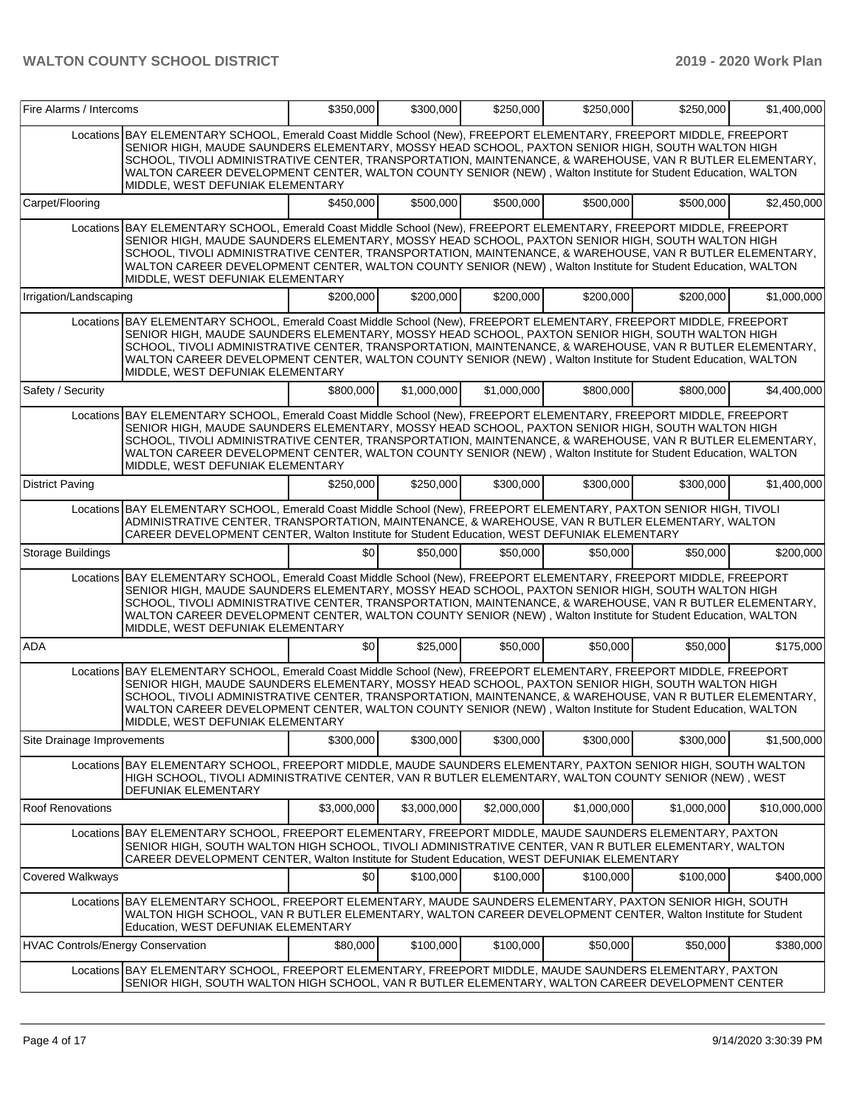|                                          | Fire Alarms / Intercoms                                                                                                                                                                                                                                                                                                                                                                                                                                                                |             | \$350,000<br>\$300,000 | \$250,000   | \$250,000   | \$250,000   | \$1,400,000  |
|------------------------------------------|----------------------------------------------------------------------------------------------------------------------------------------------------------------------------------------------------------------------------------------------------------------------------------------------------------------------------------------------------------------------------------------------------------------------------------------------------------------------------------------|-------------|------------------------|-------------|-------------|-------------|--------------|
|                                          | Locations BAY ELEMENTARY SCHOOL, Emerald Coast Middle School (New), FREEPORT ELEMENTARY, FREEPORT MIDDLE, FREEPORT<br>SENIOR HIGH, MAUDE SAUNDERS ELEMENTARY, MOSSY HEAD SCHOOL, PAXTON SENIOR HIGH, SOUTH WALTON HIGH<br>SCHOOL, TIVOLI ADMINISTRATIVE CENTER, TRANSPORTATION, MAINTENANCE, & WAREHOUSE, VAN R BUTLER ELEMENTARY,<br>WALTON CAREER DEVELOPMENT CENTER, WALTON COUNTY SENIOR (NEW), Walton Institute for Student Education, WALTON<br>MIDDLE, WEST DEFUNIAK ELEMENTARY |             |                        |             |             |             |              |
| Carpet/Flooring                          |                                                                                                                                                                                                                                                                                                                                                                                                                                                                                        | \$450.000   | \$500,000              | \$500,000   | \$500,000   | \$500,000   | \$2,450,000  |
|                                          | Locations BAY ELEMENTARY SCHOOL, Emerald Coast Middle School (New), FREEPORT ELEMENTARY, FREEPORT MIDDLE, FREEPORT<br>SENIOR HIGH, MAUDE SAUNDERS ELEMENTARY, MOSSY HEAD SCHOOL, PAXTON SENIOR HIGH, SOUTH WALTON HIGH<br>SCHOOL, TIVOLI ADMINISTRATIVE CENTER, TRANSPORTATION, MAINTENANCE, & WAREHOUSE, VAN R BUTLER ELEMENTARY,<br>WALTON CAREER DEVELOPMENT CENTER, WALTON COUNTY SENIOR (NEW), Walton Institute for Student Education, WALTON<br>MIDDLE, WEST DEFUNIAK ELEMENTARY |             |                        |             |             |             |              |
| Irrigation/Landscaping                   |                                                                                                                                                                                                                                                                                                                                                                                                                                                                                        | \$200,000   | \$200,000              | \$200,000   | \$200,000   | \$200,000   | \$1,000,000  |
|                                          | Locations BAY ELEMENTARY SCHOOL, Emerald Coast Middle School (New), FREEPORT ELEMENTARY, FREEPORT MIDDLE, FREEPORT<br>SENIOR HIGH, MAUDE SAUNDERS ELEMENTARY, MOSSY HEAD SCHOOL, PAXTON SENIOR HIGH, SOUTH WALTON HIGH<br>SCHOOL, TIVOLI ADMINISTRATIVE CENTER, TRANSPORTATION, MAINTENANCE, & WAREHOUSE, VAN R BUTLER ELEMENTARY,<br>WALTON CAREER DEVELOPMENT CENTER, WALTON COUNTY SENIOR (NEW), Walton Institute for Student Education, WALTON<br>MIDDLE, WEST DEFUNIAK ELEMENTARY |             |                        |             |             |             |              |
| Safety / Security                        |                                                                                                                                                                                                                                                                                                                                                                                                                                                                                        | \$800,000   | \$1,000,000            | \$1,000,000 | \$800,000   | \$800,000   | \$4.400.000  |
|                                          | Locations BAY ELEMENTARY SCHOOL, Emerald Coast Middle School (New), FREEPORT ELEMENTARY, FREEPORT MIDDLE, FREEPORT<br>SENIOR HIGH, MAUDE SAUNDERS ELEMENTARY, MOSSY HEAD SCHOOL, PAXTON SENIOR HIGH, SOUTH WALTON HIGH<br>SCHOOL, TIVOLI ADMINISTRATIVE CENTER, TRANSPORTATION, MAINTENANCE, & WAREHOUSE, VAN R BUTLER ELEMENTARY,<br>WALTON CAREER DEVELOPMENT CENTER, WALTON COUNTY SENIOR (NEW), Walton Institute for Student Education, WALTON<br>MIDDLE, WEST DEFUNIAK ELEMENTARY |             |                        |             |             |             |              |
| <b>District Paving</b>                   |                                                                                                                                                                                                                                                                                                                                                                                                                                                                                        | \$250,000   | \$250,000              | \$300,000   | \$300,000   | \$300,000   | \$1,400,000  |
|                                          | Locations BAY ELEMENTARY SCHOOL, Emerald Coast Middle School (New), FREEPORT ELEMENTARY, PAXTON SENIOR HIGH, TIVOLI<br>ADMINISTRATIVE CENTER, TRANSPORTATION, MAINTENANCE, & WAREHOUSE, VAN R BUTLER ELEMENTARY, WALTON<br>CAREER DEVELOPMENT CENTER, Walton Institute for Student Education, WEST DEFUNIAK ELEMENTARY                                                                                                                                                                 |             |                        |             |             |             |              |
| Storage Buildings                        |                                                                                                                                                                                                                                                                                                                                                                                                                                                                                        | \$0         | \$50,000               | \$50,000    | \$50,000    | \$50,000    | \$200,000    |
|                                          | Locations BAY ELEMENTARY SCHOOL, Emerald Coast Middle School (New), FREEPORT ELEMENTARY, FREEPORT MIDDLE, FREEPORT<br>SENIOR HIGH, MAUDE SAUNDERS ELEMENTARY, MOSSY HEAD SCHOOL, PAXTON SENIOR HIGH, SOUTH WALTON HIGH<br>SCHOOL, TIVOLI ADMINISTRATIVE CENTER, TRANSPORTATION, MAINTENANCE, & WAREHOUSE, VAN R BUTLER ELEMENTARY,<br>WALTON CAREER DEVELOPMENT CENTER, WALTON COUNTY SENIOR (NEW), Walton Institute for Student Education, WALTON<br>MIDDLE, WEST DEFUNIAK ELEMENTARY |             |                        |             |             |             |              |
| <b>ADA</b>                               |                                                                                                                                                                                                                                                                                                                                                                                                                                                                                        | \$0         | \$25,000               | \$50,000    | \$50,000    | \$50,000    | \$175,000    |
|                                          | Locations BAY ELEMENTARY SCHOOL, Emerald Coast Middle School (New), FREEPORT ELEMENTARY, FREEPORT MIDDLE, FREEPORT<br>SENIOR HIGH, MAUDE SAUNDERS ELEMENTARY, MOSSY HEAD SCHOOL, PAXTON SENIOR HIGH, SOUTH WALTON HIGH<br>SCHOOL, TIVOLI ADMINISTRATIVE CENTER, TRANSPORTATION, MAINTENANCE, & WAREHOUSE, VAN R BUTLER ELEMENTARY,<br>WALTON CAREER DEVELOPMENT CENTER, WALTON COUNTY SENIOR (NEW), Walton Institute for Student Education, WALTON<br>MIDDLE. WEST DEFUNIAK ELEMENTARY |             |                        |             |             |             |              |
| Site Drainage Improvements               |                                                                                                                                                                                                                                                                                                                                                                                                                                                                                        | \$300,000   | \$300,000              | \$300,000   | \$300,000   | \$300,000   | \$1,500,000  |
|                                          | Locations BAY ELEMENTARY SCHOOL, FREEPORT MIDDLE, MAUDE SAUNDERS ELEMENTARY, PAXTON SENIOR HIGH, SOUTH WALTON<br>HIGH SCHOOL, TIVOLI ADMINISTRATIVE CENTER, VAN R BUTLER ELEMENTARY, WALTON COUNTY SENIOR (NEW), WEST<br>DEFUNIAK ELEMENTARY                                                                                                                                                                                                                                           |             |                        |             |             |             |              |
| <b>Roof Renovations</b>                  |                                                                                                                                                                                                                                                                                                                                                                                                                                                                                        | \$3,000,000 | \$3,000,000            | \$2,000,000 | \$1,000,000 | \$1,000,000 | \$10,000,000 |
|                                          | Locations BAY ELEMENTARY SCHOOL, FREEPORT ELEMENTARY, FREEPORT MIDDLE, MAUDE SAUNDERS ELEMENTARY, PAXTON<br>SENIOR HIGH, SOUTH WALTON HIGH SCHOOL, TIVOLI ADMINISTRATIVE CENTER, VAN R BUTLER ELEMENTARY, WALTON<br>CAREER DEVELOPMENT CENTER, Walton Institute for Student Education, WEST DEFUNIAK ELEMENTARY                                                                                                                                                                        |             |                        |             |             |             |              |
| Covered Walkways                         |                                                                                                                                                                                                                                                                                                                                                                                                                                                                                        | \$0         | \$100,000              | \$100,000   | \$100,000   | \$100,000   | \$400,000    |
|                                          | Locations BAY ELEMENTARY SCHOOL, FREEPORT ELEMENTARY, MAUDE SAUNDERS ELEMENTARY, PAXTON SENIOR HIGH, SOUTH<br>WALTON HIGH SCHOOL, VAN R BUTLER ELEMENTARY, WALTON CAREER DEVELOPMENT CENTER, Walton Institute for Student<br>Education, WEST DEFUNIAK ELEMENTARY                                                                                                                                                                                                                       |             |                        |             |             |             |              |
| <b>HVAC Controls/Energy Conservation</b> |                                                                                                                                                                                                                                                                                                                                                                                                                                                                                        | \$80,000    | \$100,000              | \$100,000   | \$50,000    | \$50,000    | \$380,000    |
|                                          | Locations BAY ELEMENTARY SCHOOL, FREEPORT ELEMENTARY, FREEPORT MIDDLE, MAUDE SAUNDERS ELEMENTARY, PAXTON<br>SENIOR HIGH, SOUTH WALTON HIGH SCHOOL, VAN R BUTLER ELEMENTARY, WALTON CAREER DEVELOPMENT CENTER                                                                                                                                                                                                                                                                           |             |                        |             |             |             |              |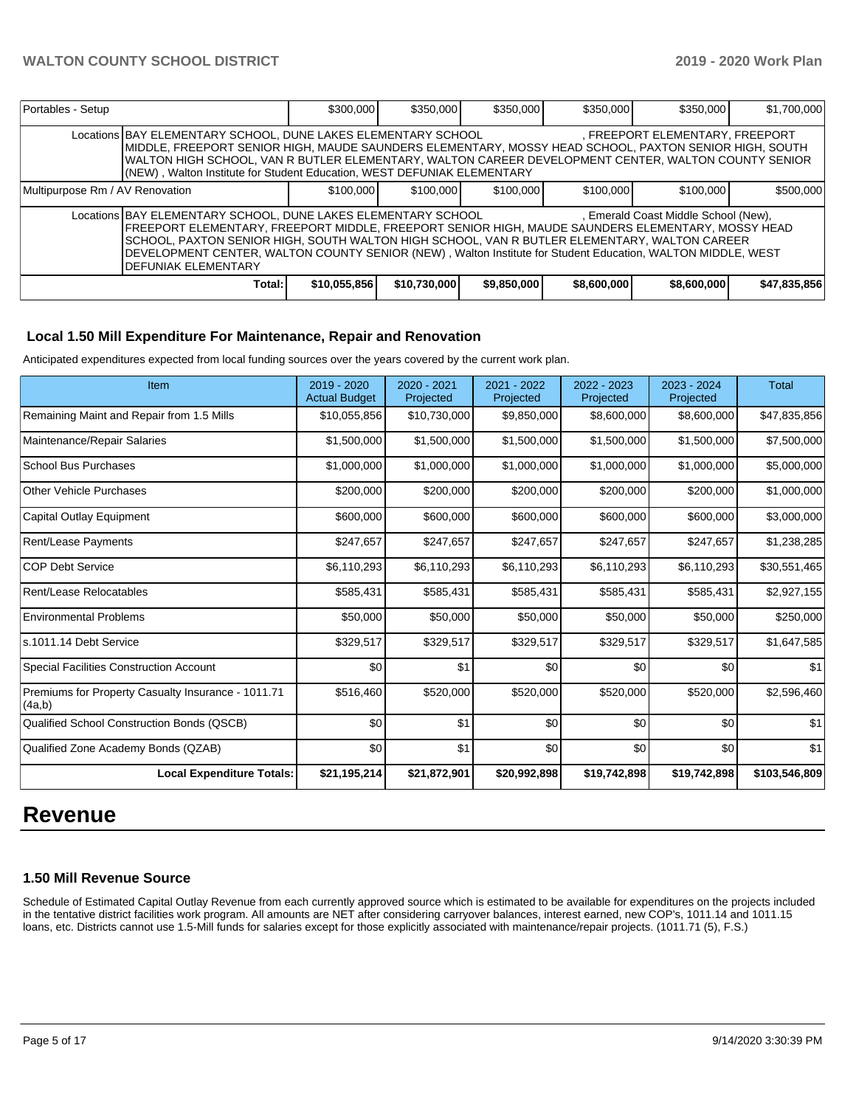| Portables - Setup                                                                                                                                                                                                                                                                                                                                                                                                                                  |                                                                                                                                                                                                                                                                                                                                                                                             | \$300,000    | \$350,000    | \$350,000   | \$350,000   | \$350,000   | \$1,700,000  |  |  |
|----------------------------------------------------------------------------------------------------------------------------------------------------------------------------------------------------------------------------------------------------------------------------------------------------------------------------------------------------------------------------------------------------------------------------------------------------|---------------------------------------------------------------------------------------------------------------------------------------------------------------------------------------------------------------------------------------------------------------------------------------------------------------------------------------------------------------------------------------------|--------------|--------------|-------------|-------------|-------------|--------------|--|--|
|                                                                                                                                                                                                                                                                                                                                                                                                                                                    | Locations BAY ELEMENTARY SCHOOL, DUNE LAKES ELEMENTARY SCHOOL<br>, FREEPORT ELEMENTARY, FREEPORT<br>MIDDLE, FREEPORT SENIOR HIGH, MAUDE SAUNDERS ELEMENTARY, MOSSY HEAD SCHOOL, PAXTON SENIOR HIGH, SOUTH<br>WALTON HIGH SCHOOL, VAN R BUTLER ELEMENTARY, WALTON CAREER DEVELOPMENT CENTER, WALTON COUNTY SENIOR<br>(NEW), Walton Institute for Student Education, WEST DEFUNIAK ELEMENTARY |              |              |             |             |             |              |  |  |
| Multipurpose Rm / AV Renovation                                                                                                                                                                                                                                                                                                                                                                                                                    |                                                                                                                                                                                                                                                                                                                                                                                             | \$100,000    | \$100,000    | \$100,000   | \$100,000   | \$100,000   | \$500,000    |  |  |
| Locations BAY ELEMENTARY SCHOOL, DUNE LAKES ELEMENTARY SCHOOL<br>, Emerald Coast Middle School (New),<br>FREEPORT ELEMENTARY, FREEPORT MIDDLE, FREEPORT SENIOR HIGH, MAUDE SAUNDERS ELEMENTARY, MOSSY HEAD<br>ISCHOOL, PAXTON SENIOR HIGH, SOUTH WALTON HIGH SCHOOL, VAN R BUTLER ELEMENTARY, WALTON CAREER<br>DEVELOPMENT CENTER, WALTON COUNTY SENIOR (NEW), Walton Institute for Student Education, WALTON MIDDLE, WEST<br>IDEFUNIAK ELEMENTARY |                                                                                                                                                                                                                                                                                                                                                                                             |              |              |             |             |             |              |  |  |
|                                                                                                                                                                                                                                                                                                                                                                                                                                                    | Total:                                                                                                                                                                                                                                                                                                                                                                                      | \$10,055,856 | \$10,730,000 | \$9,850,000 | \$8,600,000 | \$8,600,000 | \$47,835,856 |  |  |

### **Local 1.50 Mill Expenditure For Maintenance, Repair and Renovation**

Anticipated expenditures expected from local funding sources over the years covered by the current work plan.

| Item                                                         | 2019 - 2020<br><b>Actual Budget</b> | 2020 - 2021<br>Projected | 2021 - 2022<br>Projected | 2022 - 2023<br>Projected | 2023 - 2024<br>Projected | <b>Total</b>  |
|--------------------------------------------------------------|-------------------------------------|--------------------------|--------------------------|--------------------------|--------------------------|---------------|
| Remaining Maint and Repair from 1.5 Mills                    | \$10,055,856                        | \$10,730,000             | \$9,850,000              | \$8,600,000              | \$8,600,000              | \$47,835,856  |
| Maintenance/Repair Salaries                                  | \$1,500,000                         | \$1,500,000              | \$1,500,000              | \$1,500,000              | \$1,500,000              | \$7,500,000   |
| <b>School Bus Purchases</b>                                  | \$1,000,000                         | \$1,000,000              | \$1,000,000              | \$1,000,000              | \$1,000,000              | \$5,000,000   |
| <b>Other Vehicle Purchases</b>                               | \$200,000                           | \$200,000                | \$200,000                | \$200,000                | \$200,000                | \$1,000,000   |
| Capital Outlay Equipment                                     | \$600,000                           | \$600,000                | \$600,000                | \$600,000                | \$600,000                | \$3,000,000   |
| Rent/Lease Payments                                          | \$247,657                           | \$247,657                | \$247,657                | \$247,657                | \$247,657                | \$1,238,285   |
| <b>COP Debt Service</b>                                      | \$6,110,293                         | \$6,110,293              | \$6,110,293              | \$6,110,293              | \$6,110,293              | \$30,551,465  |
| Rent/Lease Relocatables                                      | \$585,431                           | \$585,431                | \$585,431                | \$585,431                | \$585,431                | \$2,927,155   |
| <b>Environmental Problems</b>                                | \$50,000                            | \$50,000                 | \$50,000                 | \$50,000                 | \$50,000                 | \$250,000     |
| s.1011.14 Debt Service                                       | \$329,517                           | \$329,517                | \$329,517                | \$329,517                | \$329,517                | \$1,647,585   |
| <b>Special Facilities Construction Account</b>               | \$0                                 | \$1                      | \$0                      | \$0                      | \$0                      | \$1           |
| Premiums for Property Casualty Insurance - 1011.71<br>(4a,b) | \$516,460                           | \$520,000                | \$520,000                | \$520,000                | \$520,000                | \$2,596,460   |
| Qualified School Construction Bonds (QSCB)                   | \$0                                 | \$1                      | \$0                      | \$0                      | \$0                      | \$1           |
| Qualified Zone Academy Bonds (QZAB)                          | \$0                                 | \$1                      | \$0                      | \$0                      | \$0                      | \$1           |
| <b>Local Expenditure Totals:</b>                             | \$21,195,214                        | \$21,872,901             | \$20,992,898             | \$19,742,898             | \$19,742,898             | \$103,546,809 |

# **Revenue**

#### **1.50 Mill Revenue Source**

Schedule of Estimated Capital Outlay Revenue from each currently approved source which is estimated to be available for expenditures on the projects included in the tentative district facilities work program. All amounts are NET after considering carryover balances, interest earned, new COP's, 1011.14 and 1011.15 loans, etc. Districts cannot use 1.5-Mill funds for salaries except for those explicitly associated with maintenance/repair projects. (1011.71 (5), F.S.)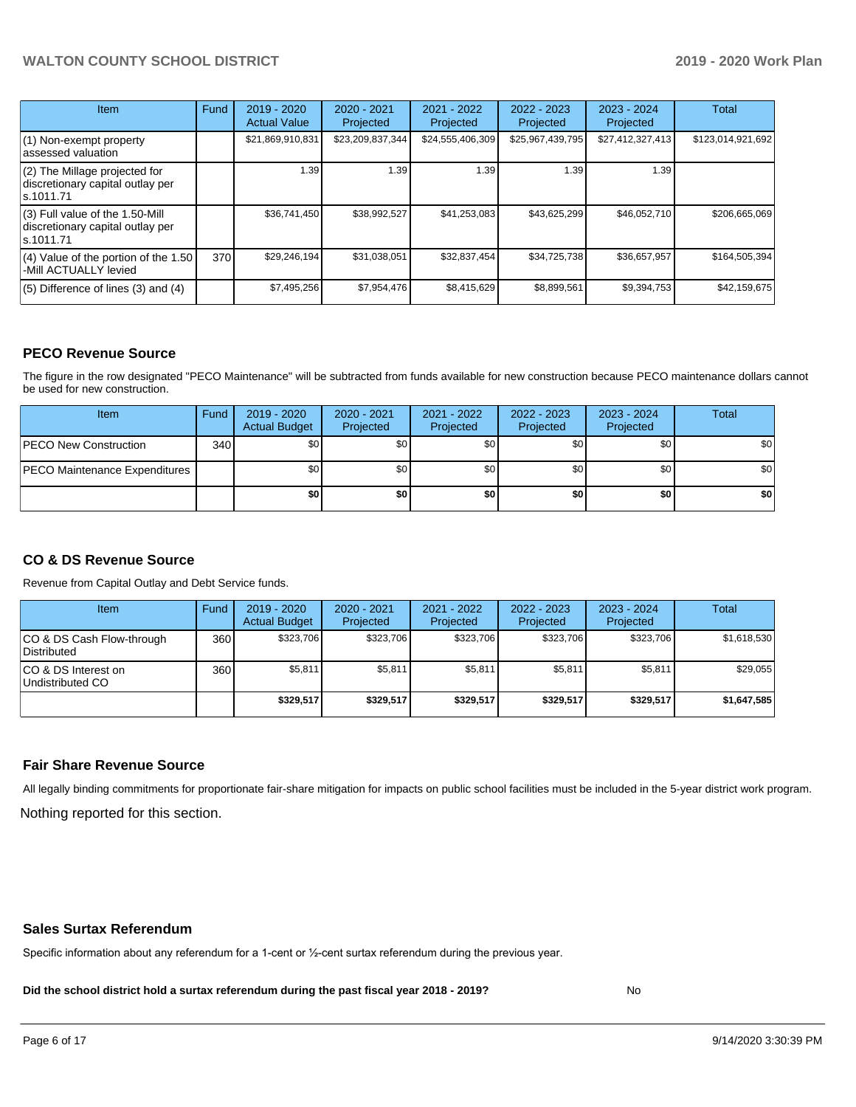| <b>Item</b>                                                                       | Fund | $2019 - 2020$<br><b>Actual Value</b> | 2020 - 2021<br>Projected | 2021 - 2022<br>Projected | $2022 - 2023$<br>Projected | $2023 - 2024$<br>Projected | Total             |
|-----------------------------------------------------------------------------------|------|--------------------------------------|--------------------------|--------------------------|----------------------------|----------------------------|-------------------|
| $(1)$ Non-exempt property<br>lassessed valuation                                  |      | \$21,869,910,831                     | \$23,209,837,344         | \$24,555,406,309         | \$25,967,439,795           | \$27,412,327,413           | \$123,014,921,692 |
| (2) The Millage projected for<br>discretionary capital outlay per<br>ls.1011.71   |      | 1.39                                 | 1.39                     | 1.39                     | 1.39                       | 1.39                       |                   |
| (3) Full value of the 1.50-Mill<br>discretionary capital outlay per<br>ls.1011.71 |      | \$36,741,450                         | \$38,992,527             | \$41,253,083             | \$43,625,299               | \$46,052,710               | \$206,665,069     |
| $(4)$ Value of the portion of the 1.50<br>-Mill ACTUALLY levied                   | 370I | \$29,246,194                         | \$31,038,051             | \$32,837,454             | \$34,725,738               | \$36,657,957               | \$164,505,394     |
| $(5)$ Difference of lines $(3)$ and $(4)$                                         |      | \$7,495,256                          | \$7,954,476              | \$8,415,629              | \$8,899,561                | \$9,394,753                | \$42,159,675      |

#### **PECO Revenue Source**

The figure in the row designated "PECO Maintenance" will be subtracted from funds available for new construction because PECO maintenance dollars cannot be used for new construction.

| Item                                 | Fund | 2019 - 2020<br><b>Actual Budget</b> | 2020 - 2021<br>Projected | 2021 - 2022<br>Projected | $2022 - 2023$<br>Projected | 2023 - 2024<br>Projected | Total            |
|--------------------------------------|------|-------------------------------------|--------------------------|--------------------------|----------------------------|--------------------------|------------------|
| <b>PECO New Construction</b>         | 340  | \$0                                 | \$0 <sub>1</sub>         | \$0                      | \$0 <sub>0</sub>           | \$0 <sub>1</sub>         | \$0 <sub>1</sub> |
| <b>PECO Maintenance Expenditures</b> |      | ا 30                                | \$٥Ι                     | \$0                      | \$0 <sub>1</sub>           | \$0                      | \$0              |
|                                      |      | \$0                                 | \$0                      | \$0                      | \$0                        | \$0                      | \$0              |

# **CO & DS Revenue Source**

Revenue from Capital Outlay and Debt Service funds.

| Item                                      | Fund | 2019 - 2020<br><b>Actual Budget</b> | 2020 - 2021<br>Projected | 2021 - 2022<br>Projected | 2022 - 2023<br>Projected | $2023 - 2024$<br>Projected | Total       |
|-------------------------------------------|------|-------------------------------------|--------------------------|--------------------------|--------------------------|----------------------------|-------------|
| ICO & DS Cash Flow-through<br>Distributed | 360  | \$323,706                           | \$323.706                | \$323.706                | \$323.706                | \$323.706                  | \$1,618,530 |
| ICO & DS Interest on<br>Undistributed CO  | 360  | \$5,811                             | \$5,811                  | \$5,811                  | \$5.811                  | \$5,811                    | \$29,055    |
|                                           |      | \$329.517                           | \$329.517                | \$329.517                | \$329.517                | \$329.517                  | \$1,647,585 |

#### **Fair Share Revenue Source**

Nothing reported for this section. All legally binding commitments for proportionate fair-share mitigation for impacts on public school facilities must be included in the 5-year district work program.

#### **Sales Surtax Referendum**

Specific information about any referendum for a 1-cent or ½-cent surtax referendum during the previous year.

**Did the school district hold a surtax referendum during the past fiscal year 2018 - 2019?**

No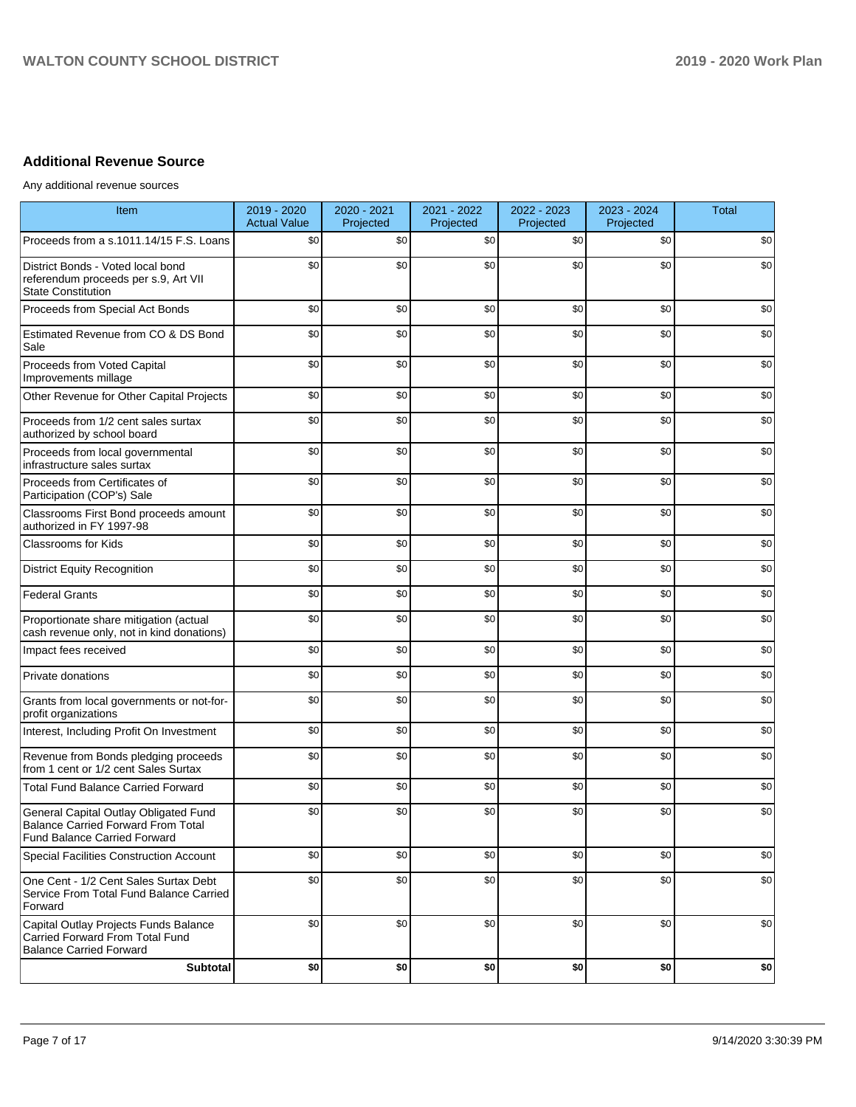# **Additional Revenue Source**

Any additional revenue sources

| Item                                                                                                                      | 2019 - 2020<br><b>Actual Value</b> | 2020 - 2021<br>Projected | 2021 - 2022<br>Projected | 2022 - 2023<br>Projected | 2023 - 2024<br>Projected | <b>Total</b> |
|---------------------------------------------------------------------------------------------------------------------------|------------------------------------|--------------------------|--------------------------|--------------------------|--------------------------|--------------|
| Proceeds from a s.1011.14/15 F.S. Loans                                                                                   | \$0                                | \$0                      | \$0                      | \$0                      | \$0                      | \$0          |
| District Bonds - Voted local bond<br>referendum proceeds per s.9, Art VII<br><b>State Constitution</b>                    | \$0                                | \$0                      | \$0                      | \$0                      | \$0                      | \$0          |
| Proceeds from Special Act Bonds                                                                                           | \$0                                | \$0                      | \$0                      | \$0                      | \$0                      | \$0          |
| Estimated Revenue from CO & DS Bond<br>Sale                                                                               | \$0                                | \$0                      | \$0                      | \$0                      | \$0                      | \$0          |
| Proceeds from Voted Capital<br>Improvements millage                                                                       | \$0                                | \$0                      | \$0                      | \$0                      | \$0                      | \$0          |
| Other Revenue for Other Capital Projects                                                                                  | \$0                                | \$0                      | \$0                      | \$0                      | \$0                      | \$0          |
| Proceeds from 1/2 cent sales surtax<br>authorized by school board                                                         | \$0                                | \$0                      | \$0                      | \$0                      | \$0                      | \$0          |
| Proceeds from local governmental<br>infrastructure sales surtax                                                           | \$0                                | \$0                      | \$0                      | \$0                      | \$0                      | \$0          |
| Proceeds from Certificates of<br>Participation (COP's) Sale                                                               | \$0                                | \$0                      | \$0                      | \$0                      | \$0                      | \$0          |
| Classrooms First Bond proceeds amount<br>authorized in FY 1997-98                                                         | \$0                                | \$0                      | \$0                      | \$0                      | \$0                      | \$0          |
| <b>Classrooms for Kids</b>                                                                                                | \$0                                | \$0                      | \$0                      | \$0                      | \$0                      | \$0          |
| <b>District Equity Recognition</b>                                                                                        | \$0                                | \$0                      | \$0                      | \$0                      | \$0                      | \$0          |
| <b>Federal Grants</b>                                                                                                     | \$0                                | \$0                      | \$0                      | \$0                      | \$0                      | \$0          |
| Proportionate share mitigation (actual<br>cash revenue only, not in kind donations)                                       | \$0                                | \$0                      | \$0                      | \$0                      | \$0                      | \$0          |
| Impact fees received                                                                                                      | \$0                                | \$0                      | \$0                      | \$0                      | \$0                      | \$0          |
| Private donations                                                                                                         | \$0                                | \$0                      | \$0                      | \$0                      | \$0                      | \$0          |
| Grants from local governments or not-for-<br>profit organizations                                                         | \$0                                | \$0                      | \$0                      | \$0                      | \$0                      | \$0          |
| Interest, Including Profit On Investment                                                                                  | \$0                                | \$0                      | \$0                      | \$0                      | \$0                      | \$0          |
| Revenue from Bonds pledging proceeds<br>from 1 cent or 1/2 cent Sales Surtax                                              | \$0                                | \$0                      | \$0                      | \$0                      | \$0                      | \$0          |
| <b>Total Fund Balance Carried Forward</b>                                                                                 | \$0                                | \$0                      | \$0                      | \$0                      | \$0                      | \$0          |
| General Capital Outlay Obligated Fund<br><b>Balance Carried Forward From Total</b><br><b>Fund Balance Carried Forward</b> | \$0                                | \$0                      | \$0                      | \$0                      | \$0                      | \$0          |
| Special Facilities Construction Account                                                                                   | \$0                                | \$0                      | \$0                      | \$0                      | \$0                      | \$0          |
| One Cent - 1/2 Cent Sales Surtax Debt<br>Service From Total Fund Balance Carried<br>Forward                               | \$0                                | \$0                      | \$0                      | \$0                      | \$0                      | \$0          |
| Capital Outlay Projects Funds Balance<br>Carried Forward From Total Fund<br><b>Balance Carried Forward</b>                | \$0                                | \$0                      | \$0                      | \$0                      | \$0                      | \$0          |
| Subtotal                                                                                                                  | \$0                                | \$0                      | \$0                      | \$0                      | \$0                      | \$0          |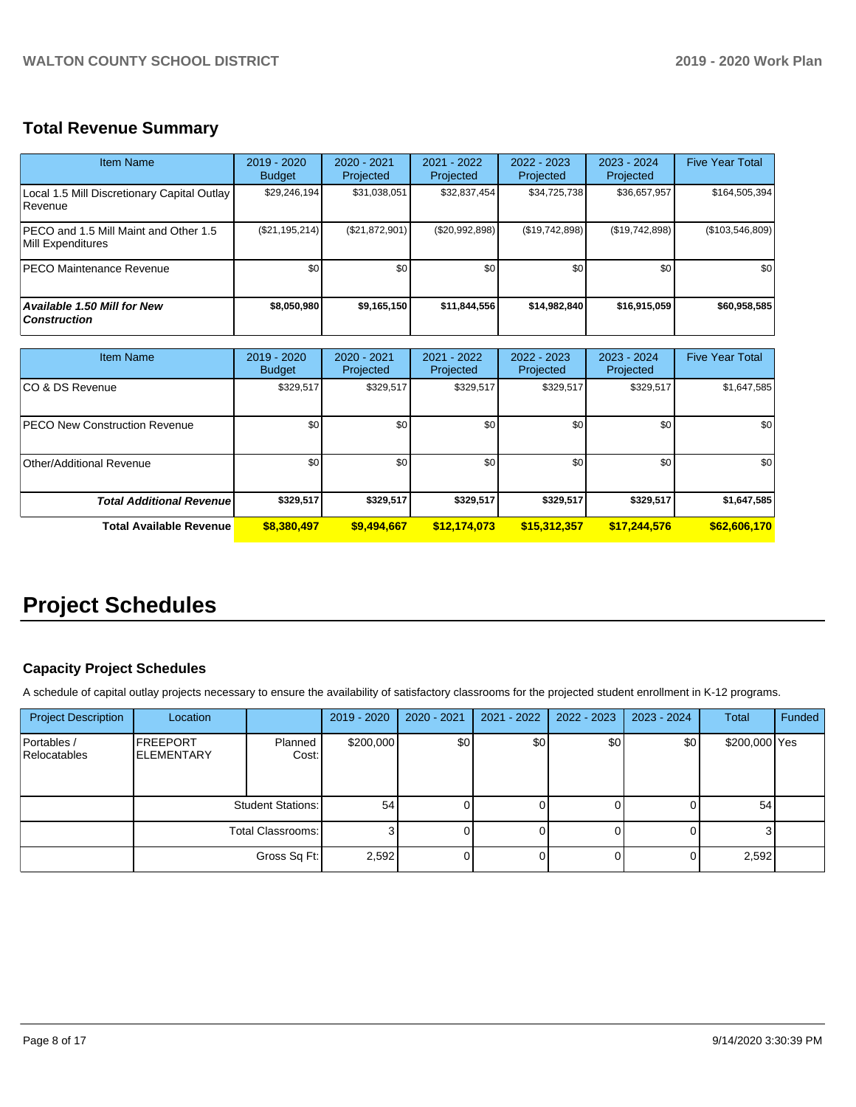# **Total Revenue Summary**

| Item Name                                                     | 2019 - 2020<br><b>Budget</b> | $2020 - 2021$<br>Projected | 2021 - 2022<br>Projected | $2022 - 2023$<br>Projected | $2023 - 2024$<br>Projected | <b>Five Year Total</b> |
|---------------------------------------------------------------|------------------------------|----------------------------|--------------------------|----------------------------|----------------------------|------------------------|
| Local 1.5 Mill Discretionary Capital Outlay<br><b>Revenue</b> | \$29,246,194                 | \$31,038,051               | \$32,837,454             | \$34,725,738               | \$36,657,957               | \$164,505,394          |
| PECO and 1.5 Mill Maint and Other 1.5<br>Mill Expenditures    | (\$21,195,214)               | (S21, 872, 901)            | (\$20,992,898)           | (\$19,742,898)             | (\$19,742,898)             | (\$103,546,809)        |
| <b>PECO Maintenance Revenue</b>                               | \$0                          | \$0                        | \$0                      | \$0                        | \$0                        | \$0 <sub>1</sub>       |
| Available 1.50 Mill for New<br><b>Construction</b>            | \$8,050,980                  | \$9,165,150                | \$11,844,556             | \$14,982,840               | \$16,915,059               | \$60,958,585           |

| <b>Item Name</b>                      | 2019 - 2020<br><b>Budget</b> | $2020 - 2021$<br>Projected | 2021 - 2022<br>Projected | 2022 - 2023<br>Projected | 2023 - 2024<br>Projected | <b>Five Year Total</b> |
|---------------------------------------|------------------------------|----------------------------|--------------------------|--------------------------|--------------------------|------------------------|
| ICO & DS Revenue                      | \$329,517                    | \$329,517                  | \$329,517                | \$329,517                | \$329,517                | \$1,647,585            |
| <b>IPECO New Construction Revenue</b> | \$0                          | \$0                        | \$0                      | \$0                      | \$0                      | \$0                    |
| Other/Additional Revenue              | \$0 <sub>1</sub>             | \$0                        | \$0                      | \$0                      | \$0                      | \$0                    |
| <b>Total Additional Revenue</b>       | \$329,517                    | \$329,517                  | \$329,517                | \$329,517                | \$329,517                | \$1,647,585            |
| <b>Total Available Revenue</b>        | \$8,380,497                  | \$9,494,667                | \$12,174,073             | \$15,312,357             | \$17,244,576             | \$62,606,170           |

# **Project Schedules**

# **Capacity Project Schedules**

A schedule of capital outlay projects necessary to ensure the availability of satisfactory classrooms for the projected student enrollment in K-12 programs.

| <b>Project Description</b>         | Location                              |                  | 2019 - 2020 | 2020 - 2021 | 2021 - 2022 | 2022 - 2023 | 2023 - 2024 | Total         | Funded |
|------------------------------------|---------------------------------------|------------------|-------------|-------------|-------------|-------------|-------------|---------------|--------|
| Portables /<br><b>Relocatables</b> | <b>FREEPORT</b><br><b>IELEMENTARY</b> | Planned<br>Cost: | \$200,000   | \$0         | \$0         | \$0         | \$0         | \$200,000 Yes |        |
|                                    | <b>Student Stations:</b>              |                  | 54          |             |             |             |             | 54            |        |
|                                    | Total Classrooms:                     |                  |             |             |             |             |             |               |        |
|                                    |                                       | Gross Sq Ft:     | 2,592       |             |             |             |             | 2,592         |        |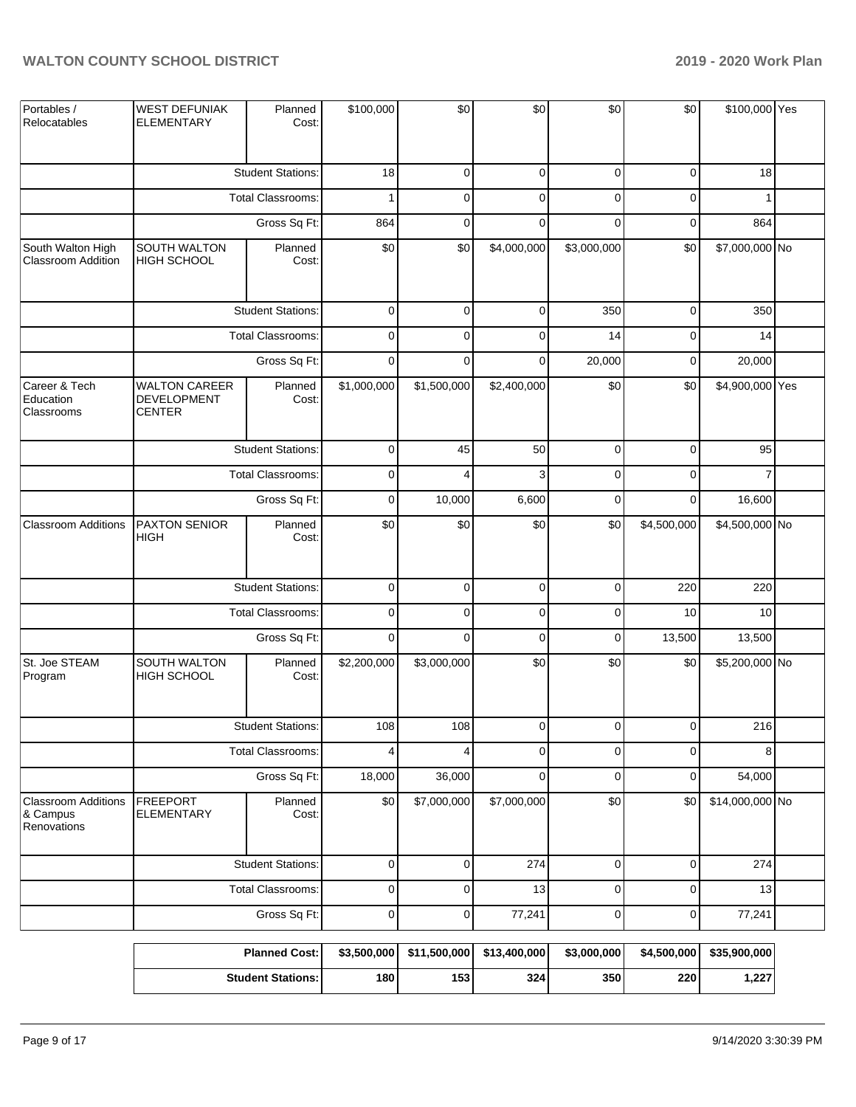| Portables /<br>Relocatables                           | <b>WEST DEFUNIAK</b><br><b>ELEMENTARY</b>                   | Planned<br>Cost:         | \$100,000           | \$0                     | \$0          | \$0         | \$0         | \$100,000 Yes   |  |
|-------------------------------------------------------|-------------------------------------------------------------|--------------------------|---------------------|-------------------------|--------------|-------------|-------------|-----------------|--|
|                                                       |                                                             | <b>Student Stations:</b> | 18                  | $\mathbf 0$             | $\mathbf 0$  | 0           | $\mathbf 0$ | 18              |  |
|                                                       |                                                             | Total Classrooms:        | 1                   | $\mathbf 0$             | $\mathbf 0$  | $\Omega$    | $\mathbf 0$ |                 |  |
|                                                       |                                                             | Gross Sq Ft:             | 864                 | $\mathbf 0$             | $\Omega$     | $\Omega$    | $\mathbf 0$ | 864             |  |
| South Walton High<br><b>Classroom Addition</b>        | SOUTH WALTON<br>HIGH SCHOOL                                 | Planned<br>Cost:         | \$0                 | \$0                     | \$4,000,000  | \$3,000,000 | \$0         | \$7,000,000 No  |  |
|                                                       |                                                             | <b>Student Stations:</b> | $\mathbf 0$         | $\mathbf 0$             | $\mathbf 0$  | 350         | $\mathbf 0$ | 350             |  |
|                                                       |                                                             | <b>Total Classrooms:</b> | $\mathsf 0$         | $\mathbf 0$             | $\mathbf 0$  | 14          | $\pmb{0}$   | 14              |  |
|                                                       |                                                             | Gross Sq Ft:             | $\mathbf 0$         | $\Omega$                | $\mathbf 0$  | 20,000      | $\mathbf 0$ | 20,000          |  |
| Career & Tech<br>Education<br>Classrooms              | <b>WALTON CAREER</b><br><b>DEVELOPMENT</b><br><b>CENTER</b> | Planned<br>Cost:         | \$1,000,000         | \$1,500,000             | \$2,400,000  | \$0         | \$0         | \$4,900,000 Yes |  |
|                                                       | <b>Student Stations:</b>                                    | $\mathsf 0$              | 45                  | 50                      | 0            | $\mathbf 0$ | 95          |                 |  |
|                                                       | <b>Total Classrooms:</b>                                    |                          | $\mathsf 0$         | 4                       | 3            | $\Omega$    | $\mathbf 0$ | 7               |  |
|                                                       |                                                             | $\mathbf 0$              | 10,000              | 6,600                   | 0            | $\mathbf 0$ | 16,600      |                 |  |
| <b>Classroom Additions</b>                            | PAXTON SENIOR<br><b>HIGH</b>                                | Planned<br>Cost:         | \$0                 | \$0                     | \$0          | \$0         | \$4,500,000 | \$4,500,000 No  |  |
|                                                       |                                                             | <b>Student Stations:</b> | $\mathsf 0$         | $\mathbf 0$             | $\mathbf 0$  | 0           | 220         | 220             |  |
|                                                       |                                                             | <b>Total Classrooms:</b> | $\mathbf 0$         | $\mathbf 0$             | $\mathbf 0$  | $\Omega$    | 10          | 10              |  |
|                                                       |                                                             | Gross Sq Ft:             | $\mathbf 0$         | $\mathbf 0$             | $\mathbf 0$  | 0           | 13,500      | 13,500          |  |
| St. Joe STEAM<br>Program                              | SOUTH WALTON<br><b>HIGH SCHOOL</b>                          | Planned<br>Cost:         | \$2,200,000         | \$3,000,000             | \$0          | \$0         | \$0         | \$5,200,000 No  |  |
|                                                       |                                                             | <b>Student Stations:</b> | 108                 | 108                     | $\Omega$     | $\Omega$    | $\Omega$    | 216             |  |
|                                                       |                                                             | <b>Total Classrooms:</b> | $\overline{4}$      | $\overline{\mathbf{4}}$ | $\mathbf 0$  | 0           | $\mathbf 0$ | 8               |  |
|                                                       |                                                             | Gross Sq Ft:             | 18,000              | 36,000                  | $\mathbf 0$  | 0           | $\mathbf 0$ | 54,000          |  |
| <b>Classroom Additions</b><br>& Campus<br>Renovations | <b>FREEPORT</b><br><b>ELEMENTARY</b>                        | Planned<br>Cost:         | \$0                 | \$7,000,000             | \$7,000,000  | \$0         | \$0         | \$14,000,000 No |  |
|                                                       |                                                             | <b>Student Stations:</b> | $\mathsf 0$         | $\mathbf 0$             | 274          | 0           | $\pmb{0}$   | 274             |  |
|                                                       |                                                             | Total Classrooms:        | $\mathsf 0$         | $\mathbf 0$             | 13           | 0           | $\mathbf 0$ | 13              |  |
|                                                       |                                                             | Gross Sq Ft:             | $\mathsf{O}\xspace$ | $\mathbf 0$             | 77,241       | 0           | $\pmb{0}$   | 77,241          |  |
|                                                       |                                                             | <b>Planned Cost:</b>     | \$3,500,000         | \$11,500,000            | \$13,400,000 | \$3,000,000 | \$4,500,000 | \$35,900,000    |  |
|                                                       |                                                             | <b>Student Stations:</b> | 180                 | 153                     | 324          | 350         | 220         | 1,227           |  |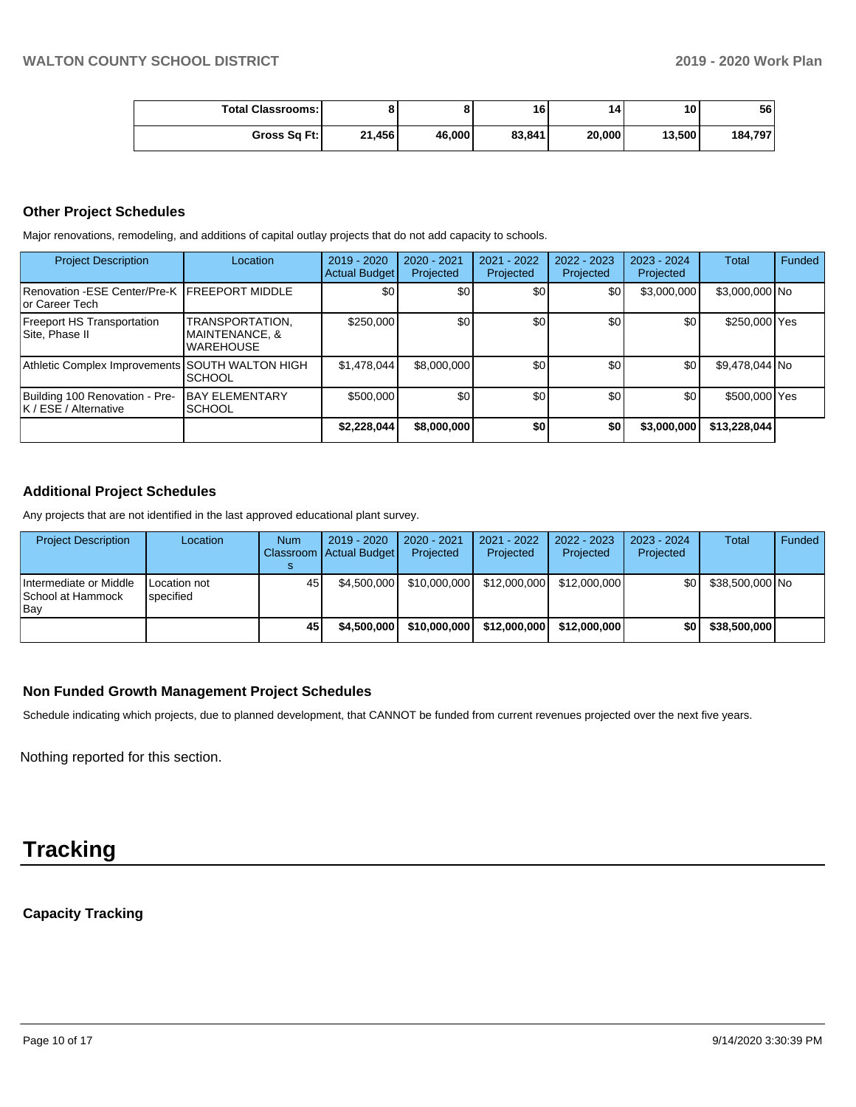| <b>Total Classrooms:</b> |        |        | 16     | 14     | 10     | 56      |
|--------------------------|--------|--------|--------|--------|--------|---------|
| Gross Sq Ft:             | 21,456 | 46,000 | 83,841 | 20,000 | 13,500 | 184,797 |

### **Other Project Schedules**

Major renovations, remodeling, and additions of capital outlay projects that do not add capacity to schools.

| <b>Project Description</b>                                       | Location                                                         | $2019 - 2020$<br><b>Actual Budget</b> | 2020 - 2021<br>Projected | 2021 - 2022<br>Projected | $2022 - 2023$<br>Projected | 2023 - 2024<br>Projected | <b>Total</b>   | Funded |
|------------------------------------------------------------------|------------------------------------------------------------------|---------------------------------------|--------------------------|--------------------------|----------------------------|--------------------------|----------------|--------|
| Renovation -ESE Center/Pre-K IFREEPORT MIDDLE<br>lor Career Tech |                                                                  | \$0                                   | \$0                      | \$0 <sub>1</sub>         | \$0                        | \$3,000,000              | \$3,000,000 No |        |
| <b>Freeport HS Transportation</b><br>Site, Phase II              | TRANSPORTATION,<br><b>MAINTENANCE, &amp;</b><br><b>WAREHOUSE</b> | \$250,000                             | \$0                      | \$0 <sub>1</sub>         | \$0                        | \$0                      | \$250,000 Yes  |        |
| Athletic Complex Improvements SOUTH WALTON HIGH                  | <b>SCHOOL</b>                                                    | \$1,478,044                           | \$8,000,000              | \$0                      | \$0                        | \$0                      | \$9,478,044 No |        |
| Building 100 Renovation - Pre-<br>K / ESE / Alternative          | <b>BAY ELEMENTARY</b><br><b>SCHOOL</b>                           | \$500,000                             | \$0                      | \$0                      | \$0 <sub>1</sub>           | \$0                      | \$500,000 Yes  |        |
|                                                                  |                                                                  | \$2,228,044                           | \$8,000,000              | \$0                      | \$0                        | \$3,000,000              | \$13,228,044   |        |

## **Additional Project Schedules**

Any projects that are not identified in the last approved educational plant survey.

| <b>Project Description</b>                         | Location                  | <b>Num</b> | 2019 - 2020<br>Classroom Actual Budget | 2020 - 2021<br>Projected | $2021 - 2022$<br>Projected | $2022 - 2023$<br>Projected | $2023 - 2024$<br>Projected | Total           | Funded |
|----------------------------------------------------|---------------------------|------------|----------------------------------------|--------------------------|----------------------------|----------------------------|----------------------------|-----------------|--------|
| Intermediate or Middle<br>School at Hammock<br>Bav | Location not<br>specified | 45         | \$4,500,000                            | \$10,000,000             | \$12,000,000               | \$12,000,000               | \$OI                       | \$38,500,000 No |        |
|                                                    |                           | 45         | \$4.500.000                            | \$10,000,000             | \$12,000,000               | \$12,000,000               | \$OI                       | \$38,500,000    |        |

# **Non Funded Growth Management Project Schedules**

Schedule indicating which projects, due to planned development, that CANNOT be funded from current revenues projected over the next five years.

Nothing reported for this section.

# **Tracking**

**Capacity Tracking**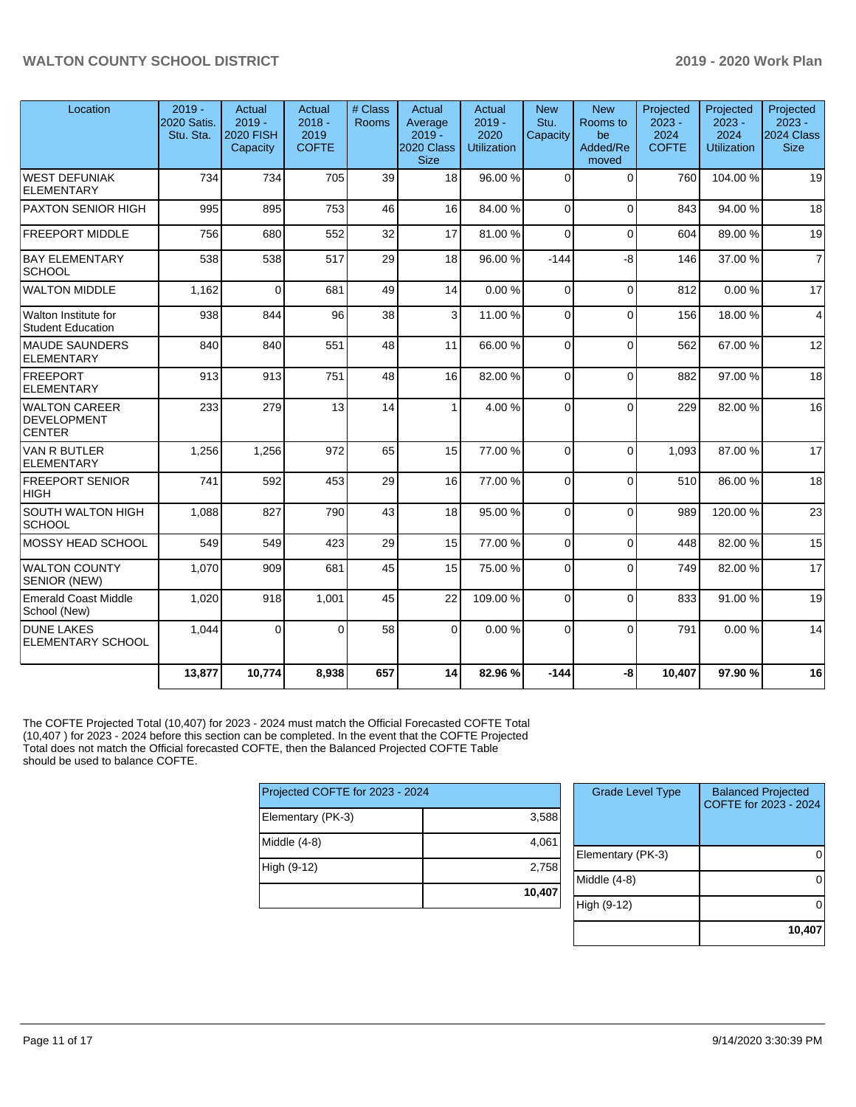| Location                                         | $2019 -$<br>2020 Satis.<br>Stu. Sta. | Actual<br>$2019 -$<br><b>2020 FISH</b><br>Capacity | Actual<br>$2018 -$<br>2019<br><b>COFTE</b> | # Class<br><b>Rooms</b> | Actual<br>Average<br>$2019 -$<br>2020 Class<br><b>Size</b> | Actual<br>$2019 -$<br>2020<br><b>Utilization</b> | <b>New</b><br>Stu.<br>Capacity | <b>New</b><br>Rooms to<br>be<br>Added/Re<br>moved | Projected<br>$2023 -$<br>2024<br><b>COFTE</b> | Projected<br>$2023 -$<br>2024<br><b>Utilization</b> | Projected<br>$2023 -$<br><b>2024 Class</b><br><b>Size</b> |
|--------------------------------------------------|--------------------------------------|----------------------------------------------------|--------------------------------------------|-------------------------|------------------------------------------------------------|--------------------------------------------------|--------------------------------|---------------------------------------------------|-----------------------------------------------|-----------------------------------------------------|-----------------------------------------------------------|
| WEST DEFUNIAK<br>ELEMENTARY                      | 734                                  | 734                                                | 705                                        | 39                      | 18                                                         | 96.00 %                                          | $\Omega$                       | $\Omega$                                          | 760                                           | 104.00%                                             | 19                                                        |
| <b>PAXTON SENIOR HIGH</b>                        | 995                                  | 895                                                | 753                                        | 46                      | 16                                                         | 84.00%                                           | $\Omega$                       | $\Omega$                                          | 843                                           | 94.00%                                              | 18                                                        |
| <b>FREEPORT MIDDLE</b>                           | 756                                  | 680                                                | 552                                        | 32                      | 17                                                         | 81.00%                                           | $\Omega$                       | $\Omega$                                          | 604                                           | 89.00 %                                             | 19                                                        |
| <b>BAY ELEMENTARY</b><br><b>SCHOOL</b>           | 538                                  | 538                                                | 517                                        | 29                      | 18                                                         | 96.00 %                                          | $-144$                         | -8                                                | 146                                           | 37.00 %                                             | $\overline{7}$                                            |
| <b>WALTON MIDDLE</b>                             | 1,162                                | $\Omega$                                           | 681                                        | 49                      | 14                                                         | 0.00%                                            | $\Omega$                       | $\Omega$                                          | 812                                           | 0.00%                                               | 17                                                        |
| Walton Institute for<br><b>Student Education</b> | 938                                  | 844                                                | 96                                         | 38                      | 3                                                          | 11.00 %                                          | $\Omega$                       | $\Omega$                                          | 156                                           | 18.00 %                                             | $\overline{4}$                                            |
| <b>MAUDE SAUNDERS</b><br>ELEMENTARY              | 840                                  | 840                                                | 551                                        | 48                      | 11                                                         | 66.00%                                           | $\Omega$                       | $\Omega$                                          | 562                                           | 67.00 %                                             | 12                                                        |
| FREEPORT<br>ELEMENTARY                           | 913                                  | 913                                                | 751                                        | 48                      | 16                                                         | 82.00 %                                          | $\Omega$                       | $\Omega$                                          | 882                                           | 97.00 %                                             | 18                                                        |
| WALTON CAREER<br>DEVELOPMENT<br><b>CENTER</b>    | 233                                  | 279                                                | 13                                         | 14                      | 1                                                          | 4.00%                                            | 0                              | $\Omega$                                          | 229                                           | 82.00%                                              | 16                                                        |
| <b>VAN R BUTLER</b><br><b>ELEMENTARY</b>         | 1,256                                | 1,256                                              | 972                                        | 65                      | 15                                                         | 77.00 %                                          | $\Omega$                       | $\Omega$                                          | 1.093                                         | 87.00 %                                             | 17                                                        |
| <b>FREEPORT SENIOR</b><br> HIGH                  | 741                                  | 592                                                | 453                                        | 29                      | 16                                                         | 77.00 %                                          | $\Omega$                       | $\mathbf{0}$                                      | 510                                           | 86.00 %                                             | 18                                                        |
| SOUTH WALTON HIGH<br>SCHOOL                      | 1,088                                | 827                                                | 790                                        | 43                      | 18                                                         | 95.00 %                                          | $\Omega$                       | $\Omega$                                          | 989                                           | 120.00%                                             | 23                                                        |
| MOSSY HEAD SCHOOL                                | 549                                  | 549                                                | 423                                        | 29                      | 15                                                         | 77.00 %                                          | $\Omega$                       | $\Omega$                                          | 448                                           | 82.00%                                              | 15                                                        |
| WALTON COUNTY<br><b>SENIOR (NEW)</b>             | 1,070                                | 909                                                | 681                                        | 45                      | 15                                                         | 75.00 %                                          | $\Omega$                       | $\Omega$                                          | 749                                           | 82.00%                                              | 17                                                        |
| Emerald Coast Middle<br>School (New)             | 1,020                                | 918                                                | 1,001                                      | 45                      | 22                                                         | 109.00%                                          | $\Omega$                       | $\mathbf{0}$                                      | 833                                           | 91.00%                                              | 19                                                        |
| <b>DUNE LAKES</b><br><b>ELEMENTARY SCHOOL</b>    | 1,044                                | $\Omega$                                           | $\Omega$                                   | 58                      | $\Omega$                                                   | 0.00%                                            | $\Omega$                       | $\Omega$                                          | 791                                           | 0.00%                                               | 14                                                        |
|                                                  | 13,877                               | 10,774                                             | 8,938                                      | 657                     | 14                                                         | 82.96 %                                          | $-144$                         | -8                                                | 10,407                                        | 97.90 %                                             | 16                                                        |

The COFTE Projected Total (10,407) for 2023 - 2024 must match the Official Forecasted COFTE Total (10,407 ) for 2023 - 2024 before this section can be completed. In the event that the COFTE Projected Total does not match the Official forecasted COFTE, then the Balanced Projected COFTE Table should be used to balance COFTE.

| Projected COFTE for 2023 - 2024 |        |  |  |  |  |  |
|---------------------------------|--------|--|--|--|--|--|
| Elementary (PK-3)               | 3,588  |  |  |  |  |  |
| Middle (4-8)                    | 4,061  |  |  |  |  |  |
| High (9-12)                     | 2,758  |  |  |  |  |  |
|                                 | 10,407 |  |  |  |  |  |

| <b>Grade Level Type</b> | <b>Balanced Projected</b><br>COFTE for 2023 - 2024 |
|-------------------------|----------------------------------------------------|
| Elementary (PK-3)       |                                                    |
| Middle $(4-8)$          |                                                    |
| High (9-12)             |                                                    |
|                         | 10,40                                              |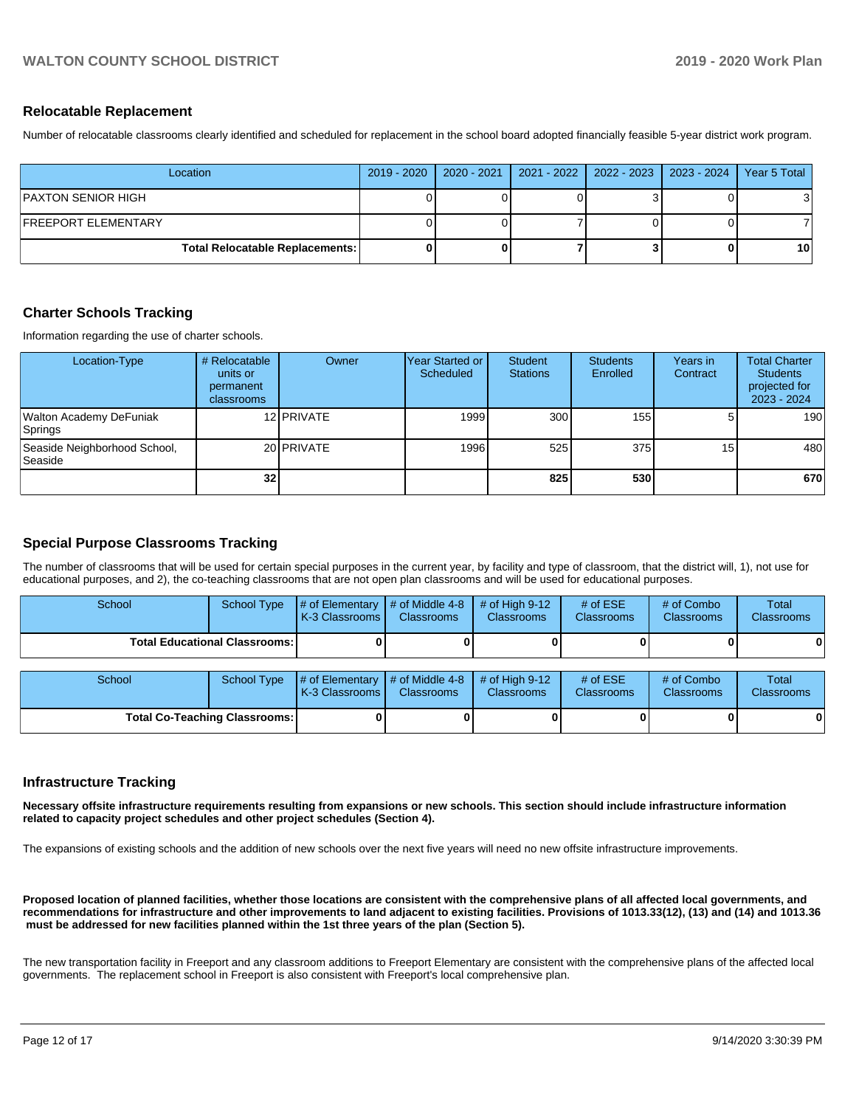#### **Relocatable Replacement**

Number of relocatable classrooms clearly identified and scheduled for replacement in the school board adopted financially feasible 5-year district work program.

| Location                               | 2019 - 2020   2020 - 2021 | 2021 - 2022   2022 - 2023   2023 - 2024 | Year 5 Total    |
|----------------------------------------|---------------------------|-----------------------------------------|-----------------|
| PAXTON SENIOR HIGH                     |                           |                                         |                 |
| FREEPORT ELEMENTARY                    |                           |                                         |                 |
| <b>Total Relocatable Replacements:</b> |                           |                                         | 10 <sup>1</sup> |

### **Charter Schools Tracking**

Information regarding the use of charter schools.

| Location-Type                                  | # Relocatable<br>units or<br>permanent<br><b>classrooms</b> | Owner      | lYear Started or<br>Scheduled | Student<br><b>Stations</b> | <b>Students</b><br>Enrolled | Years in<br>Contract | <b>Total Charter</b><br><b>Students</b><br>projected for<br>2023 - 2024 |
|------------------------------------------------|-------------------------------------------------------------|------------|-------------------------------|----------------------------|-----------------------------|----------------------|-------------------------------------------------------------------------|
| Walton Academy DeFuniak<br>Springs             |                                                             | 12 PRIVATE | 1999                          | 300                        | 155                         |                      | 190                                                                     |
| Seaside Neighborhood School,<br><b>Seaside</b> |                                                             | 20 PRIVATE | 1996                          | 525                        | 375                         | 15 <sub>l</sub>      | 480                                                                     |
|                                                | 32 <sub>l</sub>                                             |            |                               | 825                        | 530l                        |                      | 670                                                                     |

# **Special Purpose Classrooms Tracking**

The number of classrooms that will be used for certain special purposes in the current year, by facility and type of classroom, that the district will, 1), not use for educational purposes, and 2), the co-teaching classrooms that are not open plan classrooms and will be used for educational purposes.

| School                                 | School Type | $\parallel$ # of Elementary $\parallel$ # of Middle 4-8 $\parallel$ # of High 9-12<br><b>K-3 Classrooms</b> | <b>Classrooms</b> | <b>Classrooms</b> | # of $ESE$<br><b>Classrooms</b> | # of Combo<br><b>Classrooms</b> | <b>Total</b><br><b>Classrooms</b> |
|----------------------------------------|-------------|-------------------------------------------------------------------------------------------------------------|-------------------|-------------------|---------------------------------|---------------------------------|-----------------------------------|
| <b>Total Educational Classrooms: I</b> |             |                                                                                                             |                   |                   |                                 |                                 | 0                                 |

| School                               |  | School Type $\frac{1}{4}$ of Elementary $\frac{1}{4}$ of Middle 4-8 $\frac{1}{4}$ of High 9-12<br>K-3 Classrooms | <b>Classrooms</b> | <b>Classrooms</b> | # of $ESE$<br><b>Classrooms</b> | # of Combo<br><b>Classrooms</b> | Total<br><b>Classrooms</b> |
|--------------------------------------|--|------------------------------------------------------------------------------------------------------------------|-------------------|-------------------|---------------------------------|---------------------------------|----------------------------|
| <b>Total Co-Teaching Classrooms:</b> |  |                                                                                                                  |                   |                   |                                 | 01                              | 0                          |

#### **Infrastructure Tracking**

**Necessary offsite infrastructure requirements resulting from expansions or new schools. This section should include infrastructure information related to capacity project schedules and other project schedules (Section 4).** 

The expansions of existing schools and the addition of new schools over the next five years will need no new offsite infrastructure improvements.

**Proposed location of planned facilities, whether those locations are consistent with the comprehensive plans of all affected local governments, and recommendations for infrastructure and other improvements to land adjacent to existing facilities. Provisions of 1013.33(12), (13) and (14) and 1013.36 must be addressed for new facilities planned within the 1st three years of the plan (Section 5).** 

The new transportation facility in Freeport and any classroom additions to Freeport Elementary are consistent with the comprehensive plans of the affected local governments. The replacement school in Freeport is also consistent with Freeport's local comprehensive plan.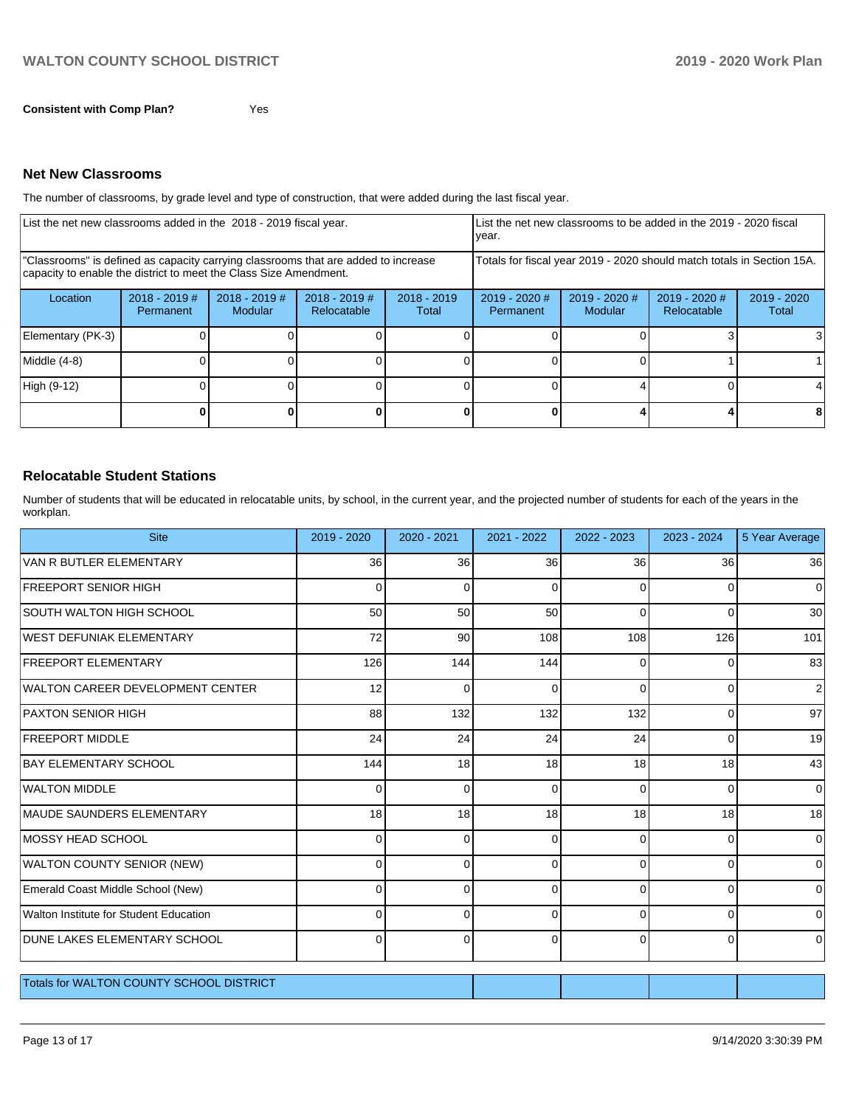The number of classrooms, by grade level and type of construction, that were added during the last fiscal year.

| List the net new classrooms added in the 2018 - 2019 fiscal year.                                                                                       |                              |                                   |                                |                        | List the net new classrooms to be added in the 2019 - 2020 fiscal<br>year. |                                 |                                |                        |
|---------------------------------------------------------------------------------------------------------------------------------------------------------|------------------------------|-----------------------------------|--------------------------------|------------------------|----------------------------------------------------------------------------|---------------------------------|--------------------------------|------------------------|
| "Classrooms" is defined as capacity carrying classrooms that are added to increase<br>capacity to enable the district to meet the Class Size Amendment. |                              |                                   |                                |                        | Totals for fiscal year 2019 - 2020 should match totals in Section 15A.     |                                 |                                |                        |
| Location                                                                                                                                                | $2018 - 2019$ #<br>Permanent | $2018 - 2019$ #<br><b>Modular</b> | $2018 - 2019$ #<br>Relocatable | $2018 - 2019$<br>Total | 2019 - 2020 #<br>Permanent                                                 | 2019 - 2020 #<br><b>Modular</b> | $2019 - 2020$ #<br>Relocatable | $2019 - 2020$<br>Total |
| Elementary (PK-3)                                                                                                                                       |                              |                                   |                                |                        |                                                                            |                                 |                                |                        |
| Middle (4-8)                                                                                                                                            |                              |                                   |                                |                        |                                                                            |                                 |                                |                        |
| High (9-12)                                                                                                                                             |                              |                                   |                                |                        |                                                                            |                                 |                                |                        |
|                                                                                                                                                         |                              |                                   |                                |                        |                                                                            |                                 |                                |                        |

### **Relocatable Student Stations**

Number of students that will be educated in relocatable units, by school, in the current year, and the projected number of students for each of the years in the workplan.

| <b>Site</b>                                     | 2019 - 2020 | 2020 - 2021 | 2021 - 2022 | 2022 - 2023 | 2023 - 2024 | 5 Year Average |
|-------------------------------------------------|-------------|-------------|-------------|-------------|-------------|----------------|
| VAN R BUTLER ELEMENTARY                         | 36          | 36          | 36          | 36          | 36          | 36             |
| <b>FREEPORT SENIOR HIGH</b>                     | 0           | $\Omega$    | $\Omega$    | $\Omega$    | 0           | 0              |
| <b>SOUTH WALTON HIGH SCHOOL</b>                 | 50          | 50          | 50          | $\Omega$    | $\Omega$    | 30             |
| WEST DEFUNIAK ELEMENTARY                        | 72          | 90          | 108         | 108         | 126         | 101            |
| <b>FREEPORT ELEMENTARY</b>                      | 126         | 144         | 144         | $\Omega$    | $\Omega$    | 83             |
| <b>WALTON CAREER DEVELOPMENT CENTER</b>         | 12          | $\Omega$    | 0           | $\Omega$    | 0           | 2              |
| <b>PAXTON SENIOR HIGH</b>                       | 88          | 132         | 132         | 132         | 0           | 97             |
| <b>FREEPORT MIDDLE</b>                          | 24          | 24          | 24          | 24          | $\Omega$    | 19             |
| <b>BAY ELEMENTARY SCHOOL</b>                    | 144         | 18          | 18          | 18          | 18          | 43             |
| <b>WALTON MIDDLE</b>                            | 0           | 0           | $\Omega$    | $\Omega$    | 0           | 0              |
| <b>MAUDE SAUNDERS ELEMENTARY</b>                | 18          | 18          | 18          | 18          | 18          | 18             |
| <b>MOSSY HEAD SCHOOL</b>                        | 0           | $\Omega$    | 0           | ſ           | $\Omega$    | 0              |
| WALTON COUNTY SENIOR (NEW)                      | U           | $\Omega$    | $\Omega$    | C           | $\Omega$    | 0              |
| Emerald Coast Middle School (New)               | O           | $\Omega$    | 0           | ∩           | $\Omega$    | $\Omega$       |
| Walton Institute for Student Education          | O           | $\Omega$    | 0           | C           | $\Omega$    | 0              |
| DUNE LAKES ELEMENTARY SCHOOL                    | 0           | $\Omega$    | $\Omega$    | $\Omega$    | $\Omega$    | 0              |
| <b>Totals for WALTON COUNTY SCHOOL DISTRICT</b> |             |             |             |             |             |                |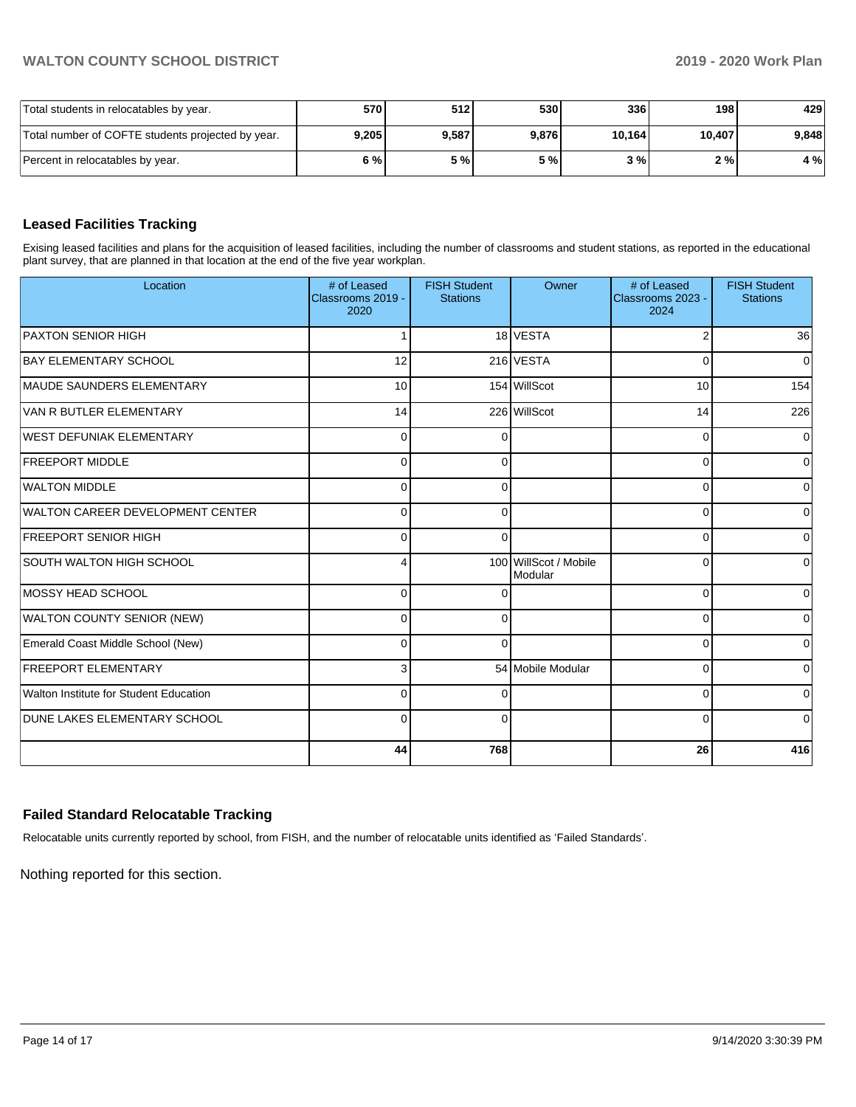| Total students in relocatables by year.           | 570   | 512   | 5301  | 336    | 198 l  | 429   |
|---------------------------------------------------|-------|-------|-------|--------|--------|-------|
| Total number of COFTE students projected by year. | 9.205 | 9.587 | 9,876 | 10,164 | 10,407 | 9.848 |
| Percent in relocatables by year.                  | 6 % l | 5 % I | 5 % l | 3%     | 2 % I  | 4 %   |

# **Leased Facilities Tracking**

Exising leased facilities and plans for the acquisition of leased facilities, including the number of classrooms and student stations, as reported in the educational plant survey, that are planned in that location at the end of the five year workplan.

| Location                               | # of Leased<br>Classrooms 2019 -<br>2020 | <b>FISH Student</b><br><b>Stations</b> | Owner                            | # of Leased<br>Classrooms 2023 -<br>2024 | <b>FISH Student</b><br><b>Stations</b> |
|----------------------------------------|------------------------------------------|----------------------------------------|----------------------------------|------------------------------------------|----------------------------------------|
| <b>PAXTON SENIOR HIGH</b>              |                                          |                                        | 18 VESTA                         | $\overline{2}$                           | 36                                     |
| <b>BAY ELEMENTARY SCHOOL</b>           | 12                                       |                                        | 216 VESTA                        | $\Omega$                                 | $\Omega$                               |
| MAUDE SAUNDERS ELEMENTARY              | 10                                       |                                        | 154 WillScot                     | 10                                       | 154                                    |
| VAN R BUTLER ELEMENTARY                | 14                                       |                                        | 226 WillScot                     | 14                                       | 226                                    |
| <b>WEST DEFUNIAK ELEMENTARY</b>        | $\Omega$                                 | $\Omega$                               |                                  | $\Omega$                                 | $\Omega$                               |
| <b>FREEPORT MIDDLE</b>                 | $\Omega$                                 | $\Omega$                               |                                  | 0                                        | 0                                      |
| <b>WALTON MIDDLE</b>                   | $\Omega$                                 | $\Omega$                               |                                  | $\Omega$                                 | 0                                      |
| WALTON CAREER DEVELOPMENT CENTER       | $\Omega$                                 | $\Omega$                               |                                  | $\Omega$                                 | $\Omega$                               |
| <b>FREEPORT SENIOR HIGH</b>            | $\Omega$                                 | $\Omega$                               |                                  | $\Omega$                                 | 0                                      |
| SOUTH WALTON HIGH SCHOOL               | 4                                        |                                        | 100 WillScot / Mobile<br>Modular | $\Omega$                                 | 0                                      |
| MOSSY HEAD SCHOOL                      | $\Omega$                                 | $\Omega$                               |                                  | $\Omega$                                 | 0                                      |
| WALTON COUNTY SENIOR (NEW)             | $\Omega$                                 | $\Omega$                               |                                  | $\Omega$                                 | 0                                      |
| Emerald Coast Middle School (New)      | $\Omega$                                 | $\Omega$                               |                                  | $\Omega$                                 | $\Omega$                               |
| <b>FREEPORT ELEMENTARY</b>             | 3                                        |                                        | 54 Mobile Modular                | $\Omega$                                 | $\mathbf 0$                            |
| Walton Institute for Student Education | $\Omega$                                 | $\Omega$                               |                                  | 0                                        | 0                                      |
| <b>DUNE LAKES ELEMENTARY SCHOOL</b>    | $\Omega$                                 | $\Omega$                               |                                  | $\Omega$                                 | 0                                      |
|                                        | 44                                       | 768                                    |                                  | 26                                       | 416                                    |

#### **Failed Standard Relocatable Tracking**

Relocatable units currently reported by school, from FISH, and the number of relocatable units identified as 'Failed Standards'.

Nothing reported for this section.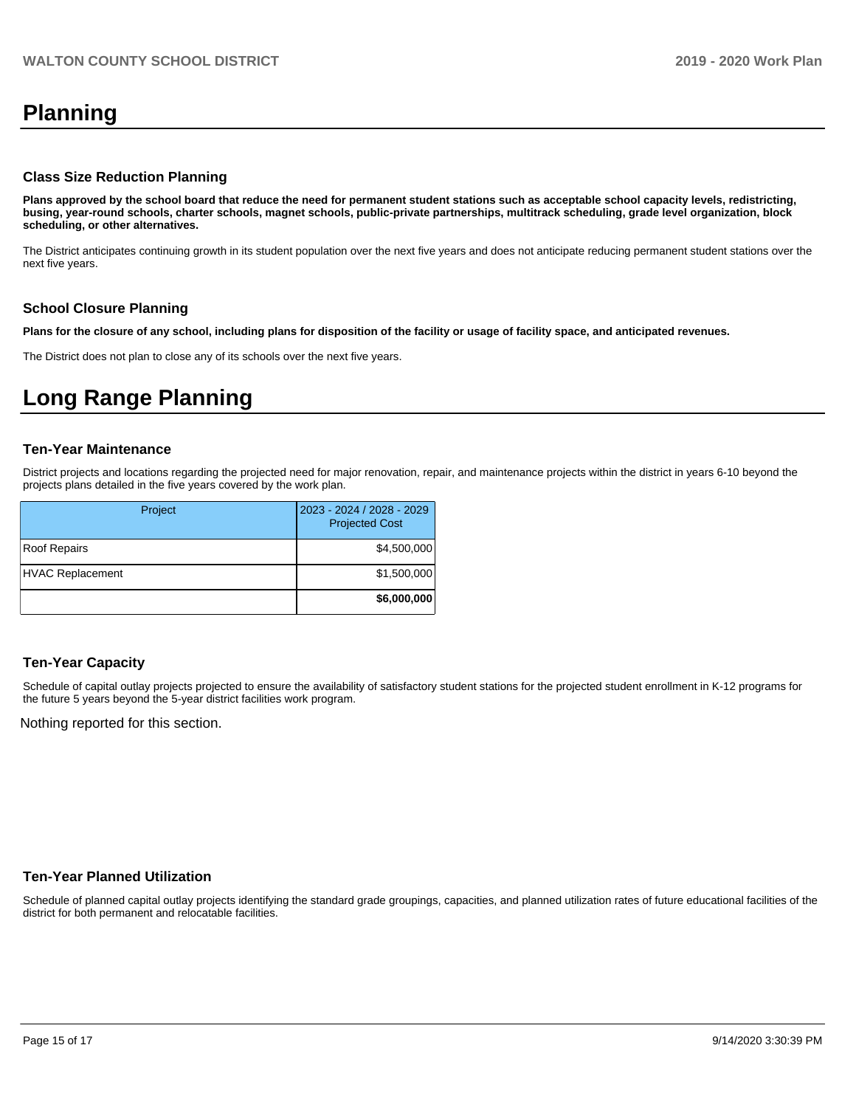# **Planning**

#### **Class Size Reduction Planning**

**Plans approved by the school board that reduce the need for permanent student stations such as acceptable school capacity levels, redistricting, busing, year-round schools, charter schools, magnet schools, public-private partnerships, multitrack scheduling, grade level organization, block scheduling, or other alternatives.**

The District anticipates continuing growth in its student population over the next five years and does not anticipate reducing permanent student stations over the next five years.

#### **School Closure Planning**

**Plans for the closure of any school, including plans for disposition of the facility or usage of facility space, and anticipated revenues.** 

The District does not plan to close any of its schools over the next five years.

# **Long Range Planning**

#### **Ten-Year Maintenance**

District projects and locations regarding the projected need for major renovation, repair, and maintenance projects within the district in years 6-10 beyond the projects plans detailed in the five years covered by the work plan.

| Project                 | 2023 - 2024 / 2028 - 2029<br><b>Projected Cost</b> |
|-------------------------|----------------------------------------------------|
| Roof Repairs            | \$4,500,000                                        |
| <b>HVAC Replacement</b> | \$1,500,000                                        |
|                         | \$6,000,000                                        |

#### **Ten-Year Capacity**

Schedule of capital outlay projects projected to ensure the availability of satisfactory student stations for the projected student enrollment in K-12 programs for the future 5 years beyond the 5-year district facilities work program.

Nothing reported for this section.

## **Ten-Year Planned Utilization**

Schedule of planned capital outlay projects identifying the standard grade groupings, capacities, and planned utilization rates of future educational facilities of the district for both permanent and relocatable facilities.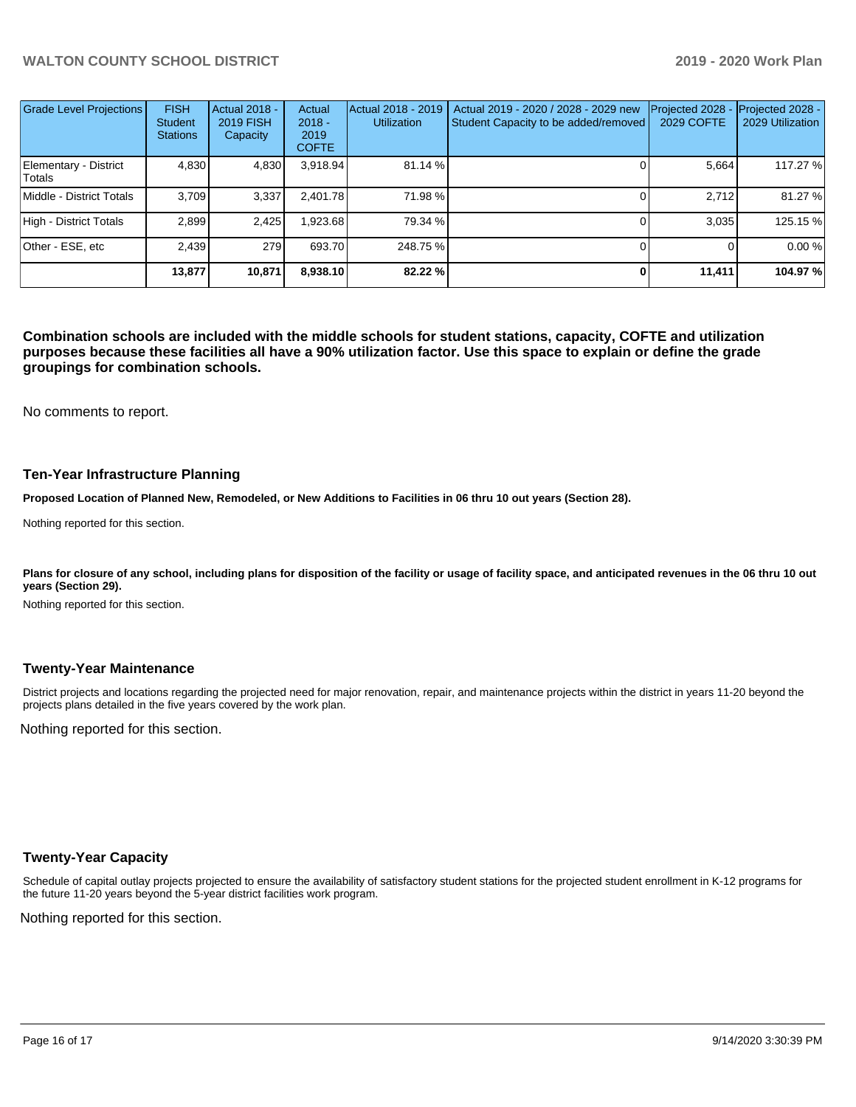| <b>Grade Level Projections</b>  | <b>FISH</b><br><b>Student</b><br><b>Stations</b> | <b>Actual 2018 -</b><br><b>2019 FISH</b><br>Capacity | Actual<br>$2018 -$<br>2019<br><b>COFTE</b> | Actual 2018 - 2019<br><b>Utilization</b> | Actual 2019 - 2020 / 2028 - 2029 new<br>Student Capacity to be added/removed | Projected 2028<br>2029 COFTE | Projected 2028 -<br>2029 Utilization |
|---------------------------------|--------------------------------------------------|------------------------------------------------------|--------------------------------------------|------------------------------------------|------------------------------------------------------------------------------|------------------------------|--------------------------------------|
| Elementary - District<br>Totals | 4,830                                            | 4,830                                                | 3,918.94                                   | 81.14 %                                  |                                                                              | 5.664                        | 117.27 %                             |
| Middle - District Totals        | 3.709                                            | 3,337                                                | 2.401.78                                   | 71.98 %                                  |                                                                              | 2.712                        | 81.27 %                              |
| High - District Totals          | 2.899                                            | 2,425                                                | .923.68                                    | 79.34 %                                  |                                                                              | 3.035                        | 125.15 %                             |
| Other - ESE, etc                | 2.439                                            | 279                                                  | 693.70                                     | 248.75 %                                 |                                                                              |                              | 0.00 %                               |
|                                 | 13,877                                           | 10,871                                               | 8.938.10                                   | 82.22 %                                  |                                                                              | 11.411                       | 104.97 %                             |

**Combination schools are included with the middle schools for student stations, capacity, COFTE and utilization purposes because these facilities all have a 90% utilization factor. Use this space to explain or define the grade groupings for combination schools.** 

No comments to report.

#### **Ten-Year Infrastructure Planning**

**Proposed Location of Planned New, Remodeled, or New Additions to Facilities in 06 thru 10 out years (Section 28).**

Nothing reported for this section.

Plans for closure of any school, including plans for disposition of the facility or usage of facility space, and anticipated revenues in the 06 thru 10 out **years (Section 29).**

Nothing reported for this section.

#### **Twenty-Year Maintenance**

District projects and locations regarding the projected need for major renovation, repair, and maintenance projects within the district in years 11-20 beyond the projects plans detailed in the five years covered by the work plan.

Nothing reported for this section.

#### **Twenty-Year Capacity**

Schedule of capital outlay projects projected to ensure the availability of satisfactory student stations for the projected student enrollment in K-12 programs for the future 11-20 years beyond the 5-year district facilities work program.

Nothing reported for this section.